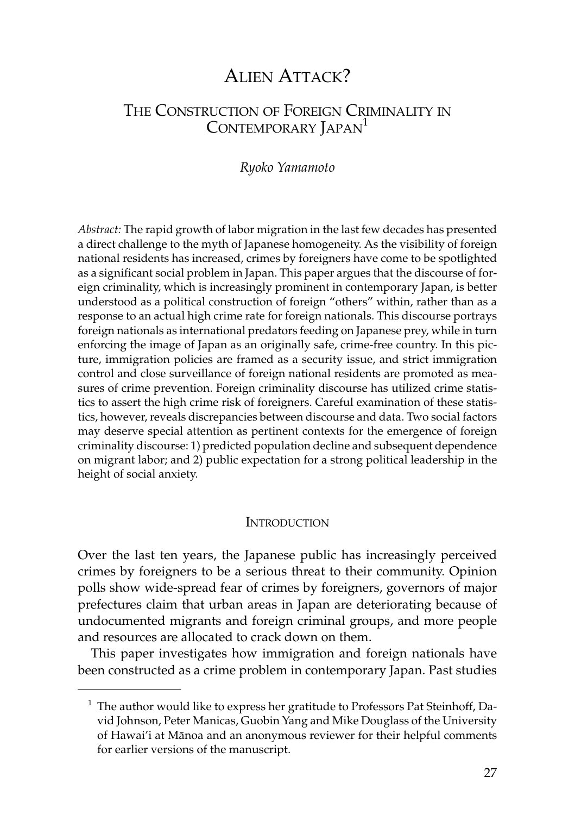# ALIEN ATTACK?

## THE CONSTRUCTION OF FOREIGN CRIMINALITY IN CONTEMPORARY JAPAN<sup>1</sup>

#### *Ryoko Yamamoto*

*Abstract:* The rapid growth of labor migration in the last few decades has presented a direct challenge to the myth of Japanese homogeneity. As the visibility of foreign national residents has increased, crimes by foreigners have come to be spotlighted as a significant social problem in Japan. This paper argues that the discourse of foreign criminality, which is increasingly prominent in contemporary Japan, is better understood as a political construction of foreign "others" within, rather than as a response to an actual high crime rate for foreign nationals. This discourse portrays foreign nationals as international predators feeding on Japanese prey, while in turn enforcing the image of Japan as an originally safe, crime-free country. In this picture, immigration policies are framed as a security issue, and strict immigration control and close surveillance of foreign national residents are promoted as measures of crime prevention. Foreign criminality discourse has utilized crime statistics to assert the high crime risk of foreigners. Careful examination of these statistics, however, reveals discrepancies between discourse and data. Two social factors may deserve special attention as pertinent contexts for the emergence of foreign criminality discourse: 1) predicted population decline and subsequent dependence on migrant labor; and 2) public expectation for a strong political leadership in the height of social anxiety.

#### **INTRODUCTION**

Over the last ten years, the Japanese public has increasingly perceived crimes by foreigners to be a serious threat to their community. Opinion polls show wide-spread fear of crimes by foreigners, governors of major prefectures claim that urban areas in Japan are deteriorating because of undocumented migrants and foreign criminal groups, and more people and resources are allocated to crack down on them.

This paper investigates how immigration and foreign nationals have been constructed as a crime problem in contemporary Japan. Past studies

<sup>&</sup>lt;sup>1</sup> The author would like to express her gratitude to Professors Pat Steinhoff, David Johnson, Peter Manicas, Guobin Yang and Mike Douglass of the University of Hawai'i at Mânoa and an anonymous reviewer for their helpful comments for earlier versions of the manuscript.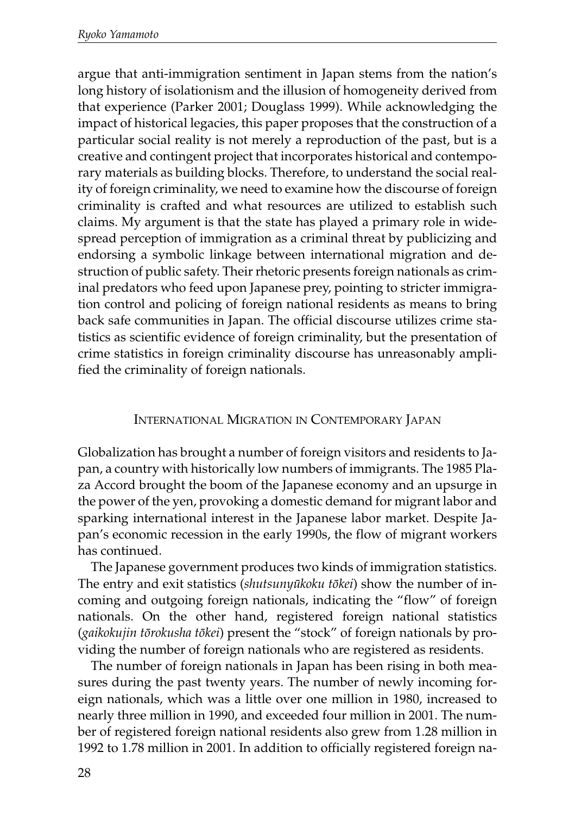argue that anti-immigration sentiment in Japan stems from the nation's long history of isolationism and the illusion of homogeneity derived from that experience (Parker 2001; Douglass 1999). While acknowledging the impact of historical legacies, this paper proposes that the construction of a particular social reality is not merely a reproduction of the past, but is a creative and contingent project that incorporates historical and contemporary materials as building blocks. Therefore, to understand the social reality of foreign criminality, we need to examine how the discourse of foreign criminality is crafted and what resources are utilized to establish such claims. My argument is that the state has played a primary role in widespread perception of immigration as a criminal threat by publicizing and endorsing a symbolic linkage between international migration and destruction of public safety. Their rhetoric presents foreign nationals as criminal predators who feed upon Japanese prey, pointing to stricter immigration control and policing of foreign national residents as means to bring back safe communities in Japan. The official discourse utilizes crime statistics as scientific evidence of foreign criminality, but the presentation of crime statistics in foreign criminality discourse has unreasonably amplified the criminality of foreign nationals.

### INTERNATIONAL MIGRATION IN CONTEMPORARY JAPAN

Globalization has brought a number of foreign visitors and residents to Japan, a country with historically low numbers of immigrants. The 1985 Plaza Accord brought the boom of the Japanese economy and an upsurge in the power of the yen, provoking a domestic demand for migrant labor and sparking international interest in the Japanese labor market. Despite Japan's economic recession in the early 1990s, the flow of migrant workers has continued.

The Japanese government produces two kinds of immigration statistics. The entry and exit statistics (*shutsunyûkoku tôkei*) show the number of incoming and outgoing foreign nationals, indicating the "flow" of foreign nationals. On the other hand, registered foreign national statistics (*gaikokujin tôrokusha tôkei*) present the "stock" of foreign nationals by providing the number of foreign nationals who are registered as residents.

The number of foreign nationals in Japan has been rising in both measures during the past twenty years. The number of newly incoming foreign nationals, which was a little over one million in 1980, increased to nearly three million in 1990, and exceeded four million in 2001. The number of registered foreign national residents also grew from 1.28 million in 1992 to 1.78 million in 2001. In addition to officially registered foreign na-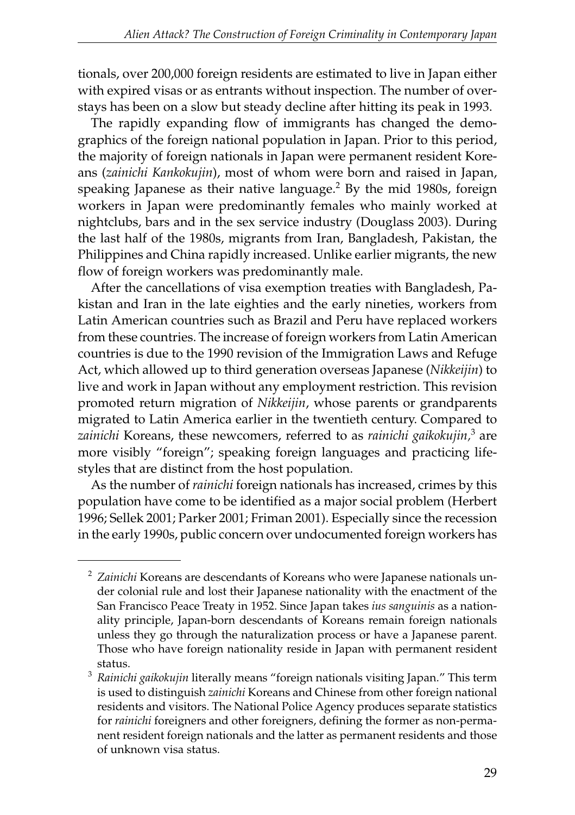tionals, over 200,000 foreign residents are estimated to live in Japan either with expired visas or as entrants without inspection. The number of overstays has been on a slow but steady decline after hitting its peak in 1993.

The rapidly expanding flow of immigrants has changed the demographics of the foreign national population in Japan. Prior to this period, the majority of foreign nationals in Japan were permanent resident Koreans (*zainichi Kankokujin*), most of whom were born and raised in Japan, speaking Japanese as their native language.<sup>2</sup> By the mid 1980s, foreign workers in Japan were predominantly females who mainly worked at nightclubs, bars and in the sex service industry (Douglass 2003). During the last half of the 1980s, migrants from Iran, Bangladesh, Pakistan, the Philippines and China rapidly increased. Unlike earlier migrants, the new flow of foreign workers was predominantly male.

After the cancellations of visa exemption treaties with Bangladesh, Pakistan and Iran in the late eighties and the early nineties, workers from Latin American countries such as Brazil and Peru have replaced workers from these countries. The increase of foreign workers from Latin American countries is due to the 1990 revision of the Immigration Laws and Refuge Act, which allowed up to third generation overseas Japanese (*Nikkeijin*) to live and work in Japan without any employment restriction. This revision promoted return migration of *Nikkeijin*, whose parents or grandparents migrated to Latin America earlier in the twentieth century. Compared to *zainichi* Koreans, these newcomers, referred to as *rainichi gaikokujin,*<sup>3</sup> are more visibly "foreign"; speaking foreign languages and practicing lifestyles that are distinct from the host population.

As the number of *rainichi* foreign nationals has increased, crimes by this population have come to be identified as a major social problem (Herbert 1996; Sellek 2001; Parker 2001; Friman 2001). Especially since the recession in the early 1990s, public concern over undocumented foreign workers has

<sup>2</sup> *Zainichi* Koreans are descendants of Koreans who were Japanese nationals under colonial rule and lost their Japanese nationality with the enactment of the San Francisco Peace Treaty in 1952. Since Japan takes *ius sanguinis* as a nationality principle, Japan-born descendants of Koreans remain foreign nationals unless they go through the naturalization process or have a Japanese parent. Those who have foreign nationality reside in Japan with permanent resident status.

<sup>3</sup> *Rainichi gaikokujin* literally means "foreign nationals visiting Japan." This term is used to distinguish *zainichi* Koreans and Chinese from other foreign national residents and visitors. The National Police Agency produces separate statistics for *rainichi* foreigners and other foreigners, defining the former as non-permanent resident foreign nationals and the latter as permanent residents and those of unknown visa status.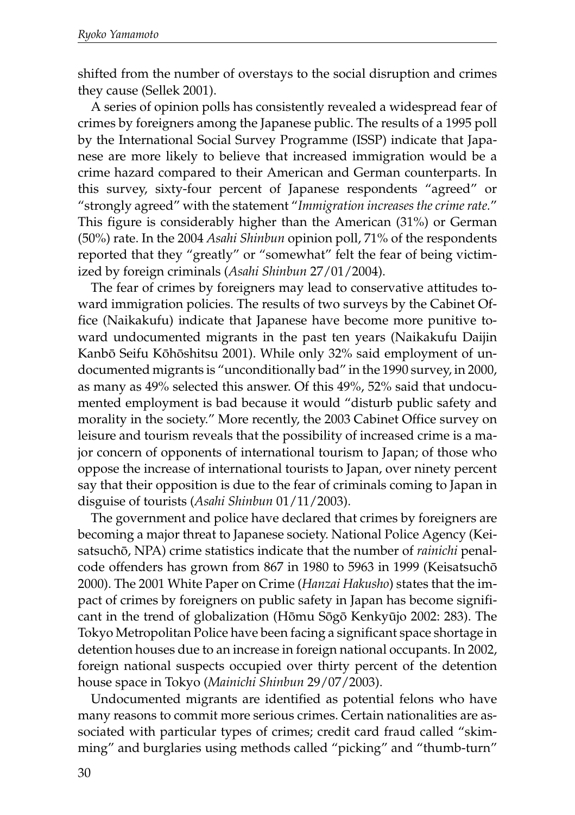shifted from the number of overstays to the social disruption and crimes they cause (Sellek 2001).

A series of opinion polls has consistently revealed a widespread fear of crimes by foreigners among the Japanese public. The results of a 1995 poll by the International Social Survey Programme (ISSP) indicate that Japanese are more likely to believe that increased immigration would be a crime hazard compared to their American and German counterparts. In this survey, sixty-four percent of Japanese respondents "agreed" or "strongly agreed" with the statement "*Immigration increases the crime rate.*" This figure is considerably higher than the American (31%) or German (50%) rate. In the 2004 *Asahi Shinbun* opinion poll, 71% of the respondents reported that they "greatly" or "somewhat" felt the fear of being victimized by foreign criminals (*Asahi Shinbun* 27/01/2004).

The fear of crimes by foreigners may lead to conservative attitudes toward immigration policies. The results of two surveys by the Cabinet Office (Naikakufu) indicate that Japanese have become more punitive toward undocumented migrants in the past ten years (Naikakufu Daijin Kanbô Seifu Kôhôshitsu 2001). While only 32% said employment of undocumented migrants is "unconditionally bad" in the 1990 survey, in 2000, as many as 49% selected this answer. Of this 49%, 52% said that undocumented employment is bad because it would "disturb public safety and morality in the society." More recently, the 2003 Cabinet Office survey on leisure and tourism reveals that the possibility of increased crime is a major concern of opponents of international tourism to Japan; of those who oppose the increase of international tourists to Japan, over ninety percent say that their opposition is due to the fear of criminals coming to Japan in disguise of tourists (*Asahi Shinbun* 01/11/2003).

The government and police have declared that crimes by foreigners are becoming a major threat to Japanese society. National Police Agency (Keisatsuchô, NPA) crime statistics indicate that the number of *rainichi* penalcode offenders has grown from 867 in 1980 to 5963 in 1999 (Keisatsuchô 2000). The 2001 White Paper on Crime (*Hanzai Hakusho*) states that the impact of crimes by foreigners on public safety in Japan has become significant in the trend of globalization (Hômu Sôgô Kenkyûjo 2002: 283). The Tokyo Metropolitan Police have been facing a significant space shortage in detention houses due to an increase in foreign national occupants. In 2002, foreign national suspects occupied over thirty percent of the detention house space in Tokyo (*Mainichi Shinbun* 29/07/2003).

Undocumented migrants are identified as potential felons who have many reasons to commit more serious crimes. Certain nationalities are associated with particular types of crimes; credit card fraud called "skimming" and burglaries using methods called "picking" and "thumb-turn"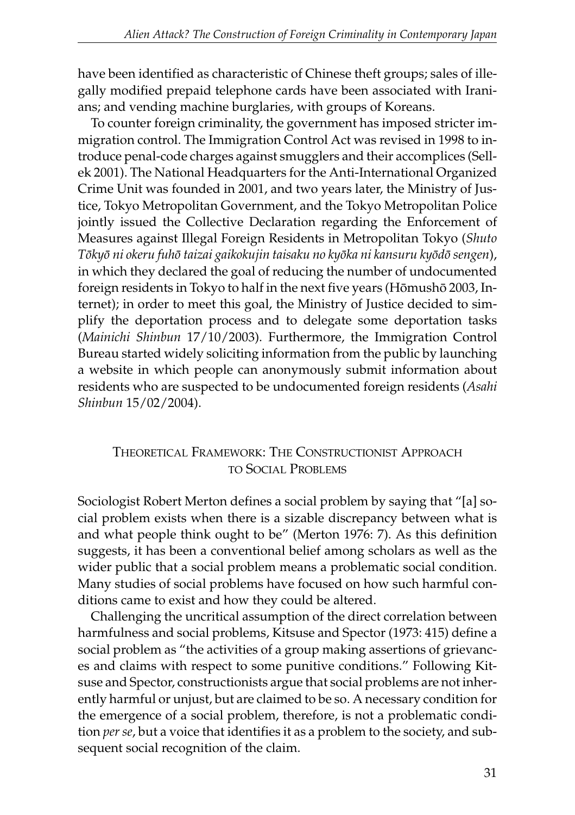have been identified as characteristic of Chinese theft groups; sales of illegally modified prepaid telephone cards have been associated with Iranians; and vending machine burglaries, with groups of Koreans.

To counter foreign criminality, the government has imposed stricter immigration control. The Immigration Control Act was revised in 1998 to introduce penal-code charges against smugglers and their accomplices (Sellek 2001). The National Headquarters for the Anti-International Organized Crime Unit was founded in 2001, and two years later, the Ministry of Justice, Tokyo Metropolitan Government, and the Tokyo Metropolitan Police jointly issued the Collective Declaration regarding the Enforcement of Measures against Illegal Foreign Residents in Metropolitan Tokyo (*Shuto Tôkyô ni okeru fuhô taizai gaikokujin taisaku no kyôka ni kansuru kyôdô sengen*), in which they declared the goal of reducing the number of undocumented foreign residents in Tokyo to half in the next five years (Hômushô 2003, Internet); in order to meet this goal, the Ministry of Justice decided to simplify the deportation process and to delegate some deportation tasks (*Mainichi Shinbun* 17/10/2003). Furthermore, the Immigration Control Bureau started widely soliciting information from the public by launching a website in which people can anonymously submit information about residents who are suspected to be undocumented foreign residents (*Asahi Shinbun* 15/02/2004).

### THEORETICAL FRAMEWORK: THE CONSTRUCTIONIST APPROACH TO SOCIAL PROBLEMS

Sociologist Robert Merton defines a social problem by saying that "[a] social problem exists when there is a sizable discrepancy between what is and what people think ought to be" (Merton 1976: 7). As this definition suggests, it has been a conventional belief among scholars as well as the wider public that a social problem means a problematic social condition. Many studies of social problems have focused on how such harmful conditions came to exist and how they could be altered.

Challenging the uncritical assumption of the direct correlation between harmfulness and social problems, Kitsuse and Spector (1973: 415) define a social problem as "the activities of a group making assertions of grievances and claims with respect to some punitive conditions." Following Kitsuse and Spector, constructionists argue that social problems are not inherently harmful or unjust, but are claimed to be so. A necessary condition for the emergence of a social problem, therefore, is not a problematic condition *per se*, but a voice that identifies it as a problem to the society, and subsequent social recognition of the claim.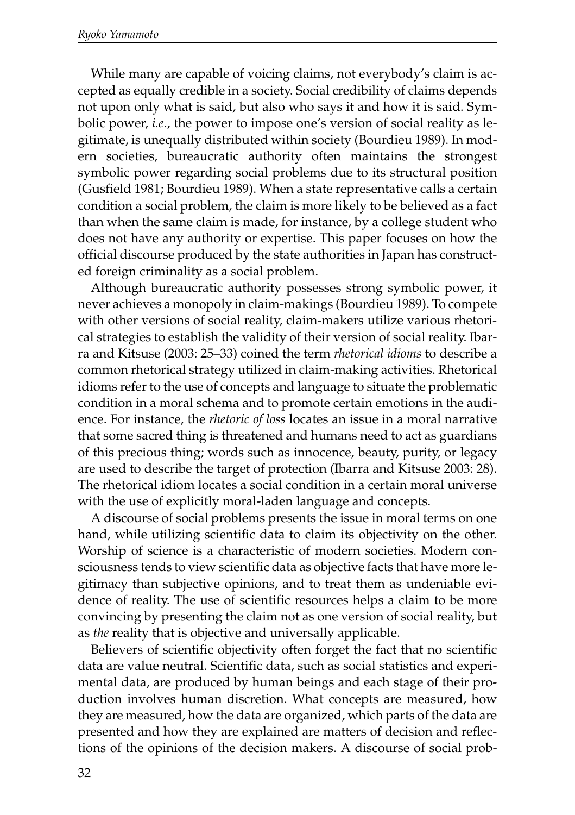While many are capable of voicing claims, not everybody's claim is accepted as equally credible in a society. Social credibility of claims depends not upon only what is said, but also who says it and how it is said. Symbolic power, *i.e*., the power to impose one's version of social reality as legitimate, is unequally distributed within society (Bourdieu 1989). In modern societies, bureaucratic authority often maintains the strongest symbolic power regarding social problems due to its structural position (Gusfield 1981; Bourdieu 1989). When a state representative calls a certain condition a social problem, the claim is more likely to be believed as a fact than when the same claim is made, for instance, by a college student who does not have any authority or expertise. This paper focuses on how the official discourse produced by the state authorities in Japan has constructed foreign criminality as a social problem.

Although bureaucratic authority possesses strong symbolic power, it never achieves a monopoly in claim-makings (Bourdieu 1989). To compete with other versions of social reality, claim-makers utilize various rhetorical strategies to establish the validity of their version of social reality. Ibarra and Kitsuse (2003: 25–33) coined the term *rhetorical idioms* to describe a common rhetorical strategy utilized in claim-making activities. Rhetorical idioms refer to the use of concepts and language to situate the problematic condition in a moral schema and to promote certain emotions in the audience. For instance, the *rhetoric of loss* locates an issue in a moral narrative that some sacred thing is threatened and humans need to act as guardians of this precious thing; words such as innocence, beauty, purity, or legacy are used to describe the target of protection (Ibarra and Kitsuse 2003: 28). The rhetorical idiom locates a social condition in a certain moral universe with the use of explicitly moral-laden language and concepts.

A discourse of social problems presents the issue in moral terms on one hand, while utilizing scientific data to claim its objectivity on the other. Worship of science is a characteristic of modern societies. Modern consciousness tends to view scientific data as objective facts that have more legitimacy than subjective opinions, and to treat them as undeniable evidence of reality. The use of scientific resources helps a claim to be more convincing by presenting the claim not as one version of social reality, but as *the* reality that is objective and universally applicable.

Believers of scientific objectivity often forget the fact that no scientific data are value neutral. Scientific data, such as social statistics and experimental data, are produced by human beings and each stage of their production involves human discretion. What concepts are measured, how they are measured, how the data are organized, which parts of the data are presented and how they are explained are matters of decision and reflections of the opinions of the decision makers. A discourse of social prob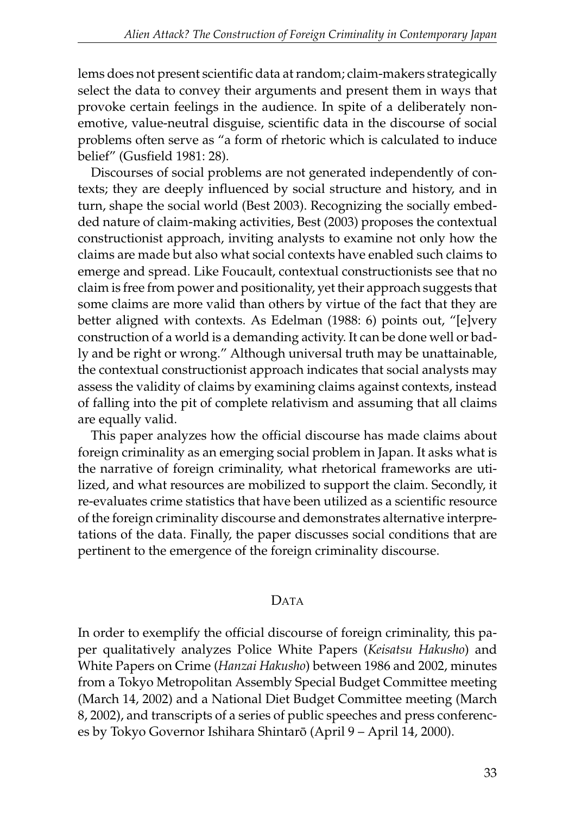lems does not present scientific data at random; claim-makers strategically select the data to convey their arguments and present them in ways that provoke certain feelings in the audience. In spite of a deliberately nonemotive, value-neutral disguise, scientific data in the discourse of social problems often serve as "a form of rhetoric which is calculated to induce belief" (Gusfield 1981: 28).

Discourses of social problems are not generated independently of contexts; they are deeply influenced by social structure and history, and in turn, shape the social world (Best 2003). Recognizing the socially embedded nature of claim-making activities, Best (2003) proposes the contextual constructionist approach, inviting analysts to examine not only how the claims are made but also what social contexts have enabled such claims to emerge and spread. Like Foucault, contextual constructionists see that no claim is free from power and positionality, yet their approach suggests that some claims are more valid than others by virtue of the fact that they are better aligned with contexts. As Edelman (1988: 6) points out, "[e]very construction of a world is a demanding activity. It can be done well or badly and be right or wrong." Although universal truth may be unattainable, the contextual constructionist approach indicates that social analysts may assess the validity of claims by examining claims against contexts, instead of falling into the pit of complete relativism and assuming that all claims are equally valid.

This paper analyzes how the official discourse has made claims about foreign criminality as an emerging social problem in Japan. It asks what is the narrative of foreign criminality, what rhetorical frameworks are utilized, and what resources are mobilized to support the claim. Secondly, it re-evaluates crime statistics that have been utilized as a scientific resource of the foreign criminality discourse and demonstrates alternative interpretations of the data. Finally, the paper discusses social conditions that are pertinent to the emergence of the foreign criminality discourse.

### DATA

In order to exemplify the official discourse of foreign criminality, this paper qualitatively analyzes Police White Papers (*Keisatsu Hakusho*) and White Papers on Crime (*Hanzai Hakusho*) between 1986 and 2002, minutes from a Tokyo Metropolitan Assembly Special Budget Committee meeting (March 14, 2002) and a National Diet Budget Committee meeting (March 8, 2002), and transcripts of a series of public speeches and press conferences by Tokyo Governor Ishihara Shintarô (April 9 – April 14, 2000).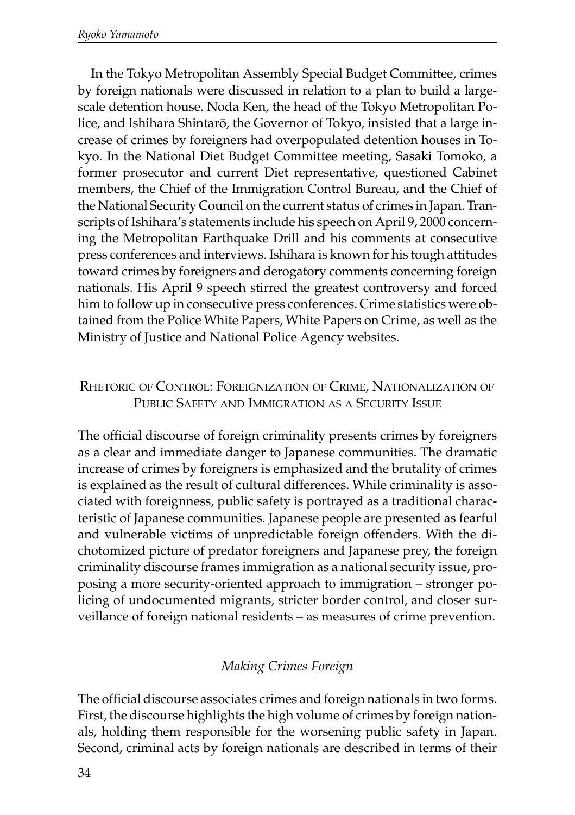In the Tokyo Metropolitan Assembly Special Budget Committee, crimes by foreign nationals were discussed in relation to a plan to build a largescale detention house. Noda Ken, the head of the Tokyo Metropolitan Police, and Ishihara Shintarô, the Governor of Tokyo, insisted that a large increase of crimes by foreigners had overpopulated detention houses in Tokyo. In the National Diet Budget Committee meeting, Sasaki Tomoko, a former prosecutor and current Diet representative, questioned Cabinet members, the Chief of the Immigration Control Bureau, and the Chief of the National Security Council on the current status of crimes in Japan. Transcripts of Ishihara's statements include his speech on April 9, 2000 concerning the Metropolitan Earthquake Drill and his comments at consecutive press conferences and interviews. Ishihara is known for his tough attitudes toward crimes by foreigners and derogatory comments concerning foreign nationals. His April 9 speech stirred the greatest controversy and forced him to follow up in consecutive press conferences. Crime statistics were obtained from the Police White Papers, White Papers on Crime, as well as the Ministry of Justice and National Police Agency websites.

### RHETORIC OF CONTROL: FOREIGNIZATION OF CRIME, NATIONALIZATION OF PUBLIC SAFETY AND IMMIGRATION AS A SECURITY ISSUE

The official discourse of foreign criminality presents crimes by foreigners as a clear and immediate danger to Japanese communities. The dramatic increase of crimes by foreigners is emphasized and the brutality of crimes is explained as the result of cultural differences. While criminality is associated with foreignness, public safety is portrayed as a traditional characteristic of Japanese communities. Japanese people are presented as fearful and vulnerable victims of unpredictable foreign offenders. With the dichotomized picture of predator foreigners and Japanese prey, the foreign criminality discourse frames immigration as a national security issue, proposing a more security-oriented approach to immigration – stronger policing of undocumented migrants, stricter border control, and closer surveillance of foreign national residents – as measures of crime prevention.

## *Making Crimes Foreign*

The official discourse associates crimes and foreign nationals in two forms. First, the discourse highlights the high volume of crimes by foreign nationals, holding them responsible for the worsening public safety in Japan. Second, criminal acts by foreign nationals are described in terms of their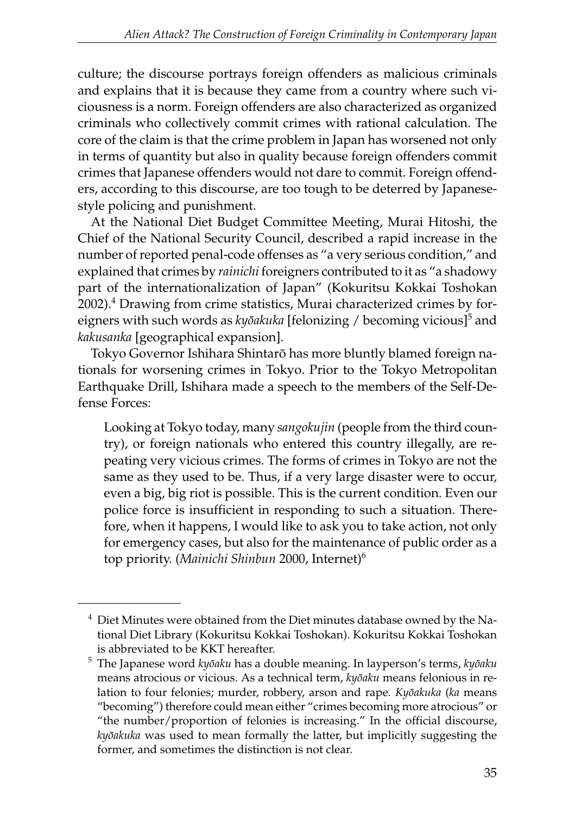culture; the discourse portrays foreign offenders as malicious criminals and explains that it is because they came from a country where such viciousness is a norm. Foreign offenders are also characterized as organized criminals who collectively commit crimes with rational calculation. The core of the claim is that the crime problem in Japan has worsened not only in terms of quantity but also in quality because foreign offenders commit crimes that Japanese offenders would not dare to commit. Foreign offenders, according to this discourse, are too tough to be deterred by Japanesestyle policing and punishment.

At the National Diet Budget Committee Meeting, Murai Hitoshi, the Chief of the National Security Council, described a rapid increase in the number of reported penal-code offenses as "a very serious condition," and explained that crimes by *rainichi* foreigners contributed to it as "a shadowy part of the internationalization of Japan" (Kokuritsu Kokkai Toshokan 2002).<sup>4</sup> Drawing from crime statistics, Murai characterized crimes by foreigners with such words as *kyôakuka* [felonizing / becoming vicious]<sup>5</sup> and *kakusanka* [geographical expansion].

Tokyo Governor Ishihara Shintarô has more bluntly blamed foreign nationals for worsening crimes in Tokyo. Prior to the Tokyo Metropolitan Earthquake Drill, Ishihara made a speech to the members of the Self-Defense Forces:

Looking at Tokyo today, many *sangokujin* (people from the third country), or foreign nationals who entered this country illegally, are repeating very vicious crimes. The forms of crimes in Tokyo are not the same as they used to be. Thus, if a very large disaster were to occur, even a big, big riot is possible. This is the current condition. Even our police force is insufficient in responding to such a situation. Therefore, when it happens, I would like to ask you to take action, not only for emergency cases, but also for the maintenance of public order as a top priority. (*Mainichi Shinbun* 2000, Internet)6

<sup>&</sup>lt;sup>4</sup> Diet Minutes were obtained from the Diet minutes database owned by the National Diet Library (Kokuritsu Kokkai Toshokan). Kokuritsu Kokkai Toshokan is abbreviated to be KKT hereafter.

<sup>5</sup> The Japanese word *kyôaku* has a double meaning. In layperson's terms, *kyôaku* means atrocious or vicious. As a technical term, *kyôaku* means felonious in relation to four felonies; murder, robbery, arson and rape*. Kyôakuka* (*ka* means "becoming") therefore could mean either "crimes becoming more atrocious" or "the number/proportion of felonies is increasing." In the official discourse, *kyôakuka* was used to mean formally the latter, but implicitly suggesting the former, and sometimes the distinction is not clear.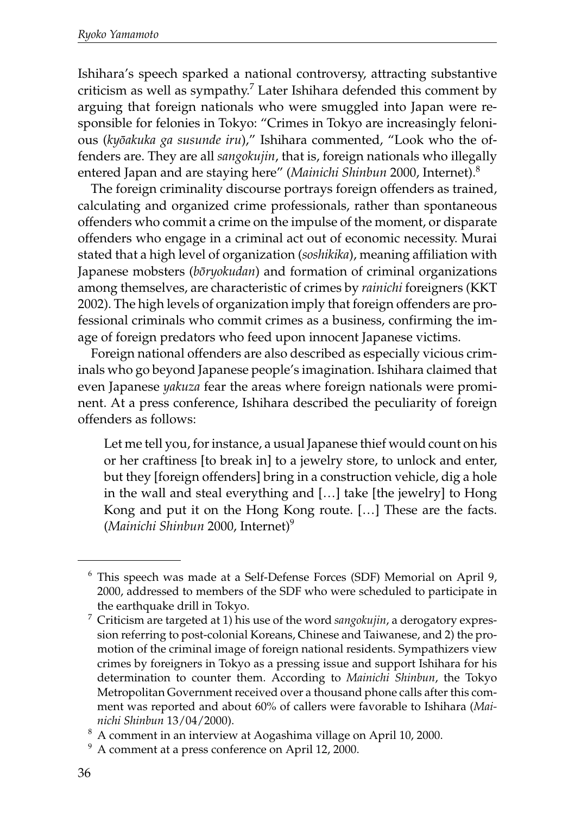Ishihara's speech sparked a national controversy, attracting substantive criticism as well as sympathy. $^7$  Later Ishihara defended this comment by arguing that foreign nationals who were smuggled into Japan were responsible for felonies in Tokyo: "Crimes in Tokyo are increasingly felonious (*kyôakuka ga susunde iru*)," Ishihara commented, "Look who the offenders are. They are all *sangokujin*, that is, foreign nationals who illegally entered Japan and are staying here" (*Mainichi Shinbun* 2000, Internet).8

The foreign criminality discourse portrays foreign offenders as trained, calculating and organized crime professionals, rather than spontaneous offenders who commit a crime on the impulse of the moment, or disparate offenders who engage in a criminal act out of economic necessity. Murai stated that a high level of organization (*soshikika*), meaning affiliation with Japanese mobsters (*bôryokudan*) and formation of criminal organizations among themselves, are characteristic of crimes by *rainichi* foreigners (KKT 2002). The high levels of organization imply that foreign offenders are professional criminals who commit crimes as a business, confirming the image of foreign predators who feed upon innocent Japanese victims.

Foreign national offenders are also described as especially vicious criminals who go beyond Japanese people's imagination. Ishihara claimed that even Japanese *yakuza* fear the areas where foreign nationals were prominent. At a press conference, Ishihara described the peculiarity of foreign offenders as follows:

Let me tell you, for instance, a usual Japanese thief would count on his or her craftiness [to break in] to a jewelry store, to unlock and enter, but they [foreign offenders] bring in a construction vehicle, dig a hole in the wall and steal everything and […] take [the jewelry] to Hong Kong and put it on the Hong Kong route. […] These are the facts. (*Mainichi Shinbun* 2000, Internet)<sup>9</sup>

<sup>6</sup> This speech was made at a Self-Defense Forces (SDF) Memorial on April 9, 2000, addressed to members of the SDF who were scheduled to participate in the earthquake drill in Tokyo.

<sup>7</sup> Criticism are targeted at 1) his use of the word *sangokujin*, a derogatory expression referring to post-colonial Koreans, Chinese and Taiwanese, and 2) the promotion of the criminal image of foreign national residents. Sympathizers view crimes by foreigners in Tokyo as a pressing issue and support Ishihara for his determination to counter them. According to *Mainichi Shinbun*, the Tokyo Metropolitan Government received over a thousand phone calls after this comment was reported and about 60% of callers were favorable to Ishihara (*Mai-*

*nichi Shinbun* 13/04/2000). 8 A comment in an interview at Aogashima village on April 10, 2000.

<sup>9</sup> A comment at a press conference on April 12, 2000.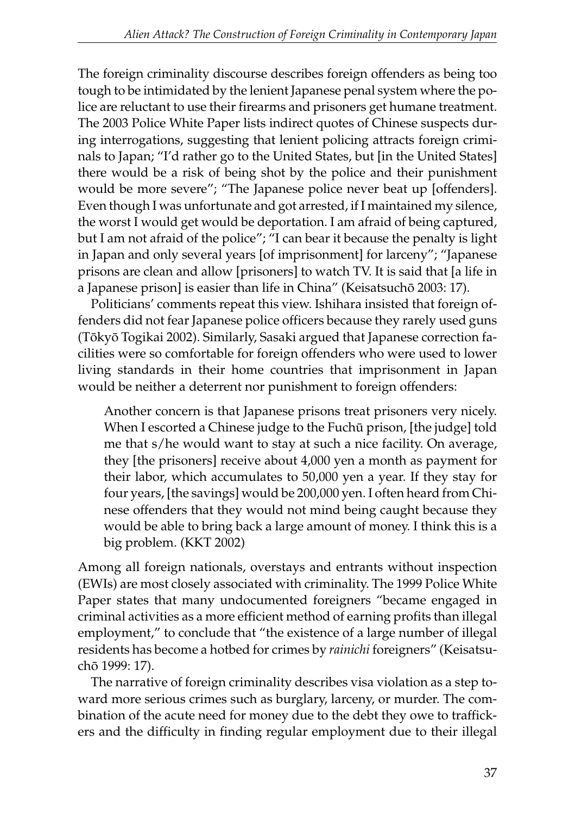The foreign criminality discourse describes foreign offenders as being too tough to be intimidated by the lenient Japanese penal system where the police are reluctant to use their firearms and prisoners get humane treatment. The 2003 Police White Paper lists indirect quotes of Chinese suspects during interrogations, suggesting that lenient policing attracts foreign criminals to Japan; "I'd rather go to the United States, but [in the United States] there would be a risk of being shot by the police and their punishment would be more severe"; "The Japanese police never beat up [offenders]. Even though I was unfortunate and got arrested, if I maintained my silence, the worst I would get would be deportation. I am afraid of being captured, but I am not afraid of the police"; "I can bear it because the penalty is light in Japan and only several years [of imprisonment] for larceny"; "Japanese prisons are clean and allow [prisoners] to watch TV. It is said that [a life in a Japanese prison] is easier than life in China" (Keisatsuchô 2003: 17).

Politicians' comments repeat this view. Ishihara insisted that foreign offenders did not fear Japanese police officers because they rarely used guns (Tôkyô Togikai 2002). Similarly, Sasaki argued that Japanese correction facilities were so comfortable for foreign offenders who were used to lower living standards in their home countries that imprisonment in Japan would be neither a deterrent nor punishment to foreign offenders:

Another concern is that Japanese prisons treat prisoners very nicely. When I escorted a Chinese judge to the Fuchû prison, [the judge] told me that s/he would want to stay at such a nice facility. On average, they [the prisoners] receive about 4,000 yen a month as payment for their labor, which accumulates to 50,000 yen a year. If they stay for four years, [the savings] would be 200,000 yen. I often heard from Chinese offenders that they would not mind being caught because they would be able to bring back a large amount of money. I think this is a big problem. (KKT 2002)

Among all foreign nationals, overstays and entrants without inspection (EWIs) are most closely associated with criminality. The 1999 Police White Paper states that many undocumented foreigners "became engaged in criminal activities as a more efficient method of earning profits than illegal employment," to conclude that "the existence of a large number of illegal residents has become a hotbed for crimes by *rainichi* foreigners" (Keisatsuchô 1999: 17).

The narrative of foreign criminality describes visa violation as a step toward more serious crimes such as burglary, larceny, or murder. The combination of the acute need for money due to the debt they owe to traffickers and the difficulty in finding regular employment due to their illegal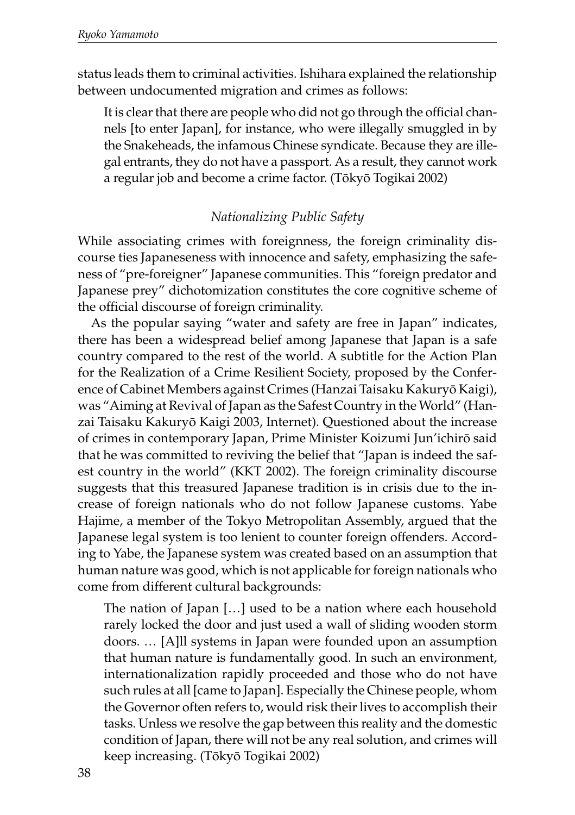status leads them to criminal activities. Ishihara explained the relationship between undocumented migration and crimes as follows:

It is clear that there are people who did not go through the official channels [to enter Japan], for instance, who were illegally smuggled in by the Snakeheads, the infamous Chinese syndicate. Because they are illegal entrants, they do not have a passport. As a result, they cannot work a regular job and become a crime factor. (Tôkyô Togikai 2002)

### *Nationalizing Public Safety*

While associating crimes with foreignness, the foreign criminality discourse ties Japaneseness with innocence and safety, emphasizing the safeness of "pre-foreigner" Japanese communities. This "foreign predator and Japanese prey" dichotomization constitutes the core cognitive scheme of the official discourse of foreign criminality.

As the popular saying "water and safety are free in Japan" indicates, there has been a widespread belief among Japanese that Japan is a safe country compared to the rest of the world. A subtitle for the Action Plan for the Realization of a Crime Resilient Society, proposed by the Conference of Cabinet Members against Crimes (Hanzai Taisaku Kakuryô Kaigi), was "Aiming at Revival of Japan as the Safest Country in the World" (Hanzai Taisaku Kakuryô Kaigi 2003, Internet). Questioned about the increase of crimes in contemporary Japan, Prime Minister Koizumi Jun'ichirô said that he was committed to reviving the belief that "Japan is indeed the safest country in the world" (KKT 2002). The foreign criminality discourse suggests that this treasured Japanese tradition is in crisis due to the increase of foreign nationals who do not follow Japanese customs. Yabe Hajime, a member of the Tokyo Metropolitan Assembly, argued that the Japanese legal system is too lenient to counter foreign offenders. According to Yabe, the Japanese system was created based on an assumption that human nature was good, which is not applicable for foreign nationals who come from different cultural backgrounds:

The nation of Japan […] used to be a nation where each household rarely locked the door and just used a wall of sliding wooden storm doors. … [A]ll systems in Japan were founded upon an assumption that human nature is fundamentally good. In such an environment, internationalization rapidly proceeded and those who do not have such rules at all [came to Japan]. Especially the Chinese people, whom the Governor often refers to, would risk their lives to accomplish their tasks. Unless we resolve the gap between this reality and the domestic condition of Japan, there will not be any real solution, and crimes will keep increasing. (Tôkyô Togikai 2002)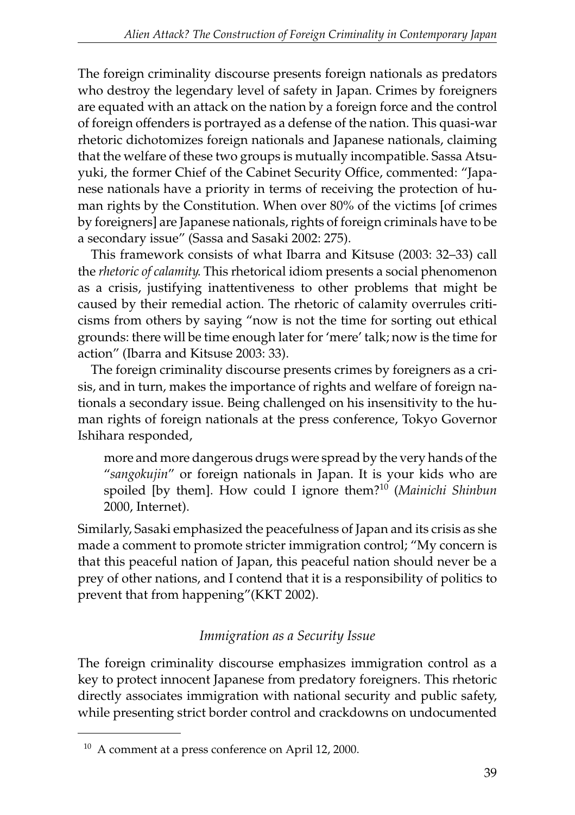The foreign criminality discourse presents foreign nationals as predators who destroy the legendary level of safety in Japan. Crimes by foreigners are equated with an attack on the nation by a foreign force and the control of foreign offenders is portrayed as a defense of the nation. This quasi-war rhetoric dichotomizes foreign nationals and Japanese nationals, claiming that the welfare of these two groups is mutually incompatible. Sassa Atsuyuki, the former Chief of the Cabinet Security Office, commented: "Japanese nationals have a priority in terms of receiving the protection of human rights by the Constitution. When over 80% of the victims [of crimes by foreigners] are Japanese nationals, rights of foreign criminals have to be a secondary issue" (Sassa and Sasaki 2002: 275).

This framework consists of what Ibarra and Kitsuse (2003: 32–33) call the *rhetoric of calamity*. This rhetorical idiom presents a social phenomenon as a crisis, justifying inattentiveness to other problems that might be caused by their remedial action. The rhetoric of calamity overrules criticisms from others by saying "now is not the time for sorting out ethical grounds: there will be time enough later for 'mere' talk; now is the time for action" (Ibarra and Kitsuse 2003: 33).

The foreign criminality discourse presents crimes by foreigners as a crisis, and in turn, makes the importance of rights and welfare of foreign nationals a secondary issue. Being challenged on his insensitivity to the human rights of foreign nationals at the press conference, Tokyo Governor Ishihara responded,

more and more dangerous drugs were spread by the very hands of the "*sangokujin*" or foreign nationals in Japan. It is your kids who are spoiled [by them]. How could I ignore them?10 (*Mainichi Shinbun* 2000, Internet).

Similarly, Sasaki emphasized the peacefulness of Japan and its crisis as she made a comment to promote stricter immigration control; "My concern is that this peaceful nation of Japan, this peaceful nation should never be a prey of other nations, and I contend that it is a responsibility of politics to prevent that from happening"(KKT 2002).

## *Immigration as a Security Issue*

The foreign criminality discourse emphasizes immigration control as a key to protect innocent Japanese from predatory foreigners. This rhetoric directly associates immigration with national security and public safety, while presenting strict border control and crackdowns on undocumented

<sup>&</sup>lt;sup>10</sup> A comment at a press conference on April 12, 2000.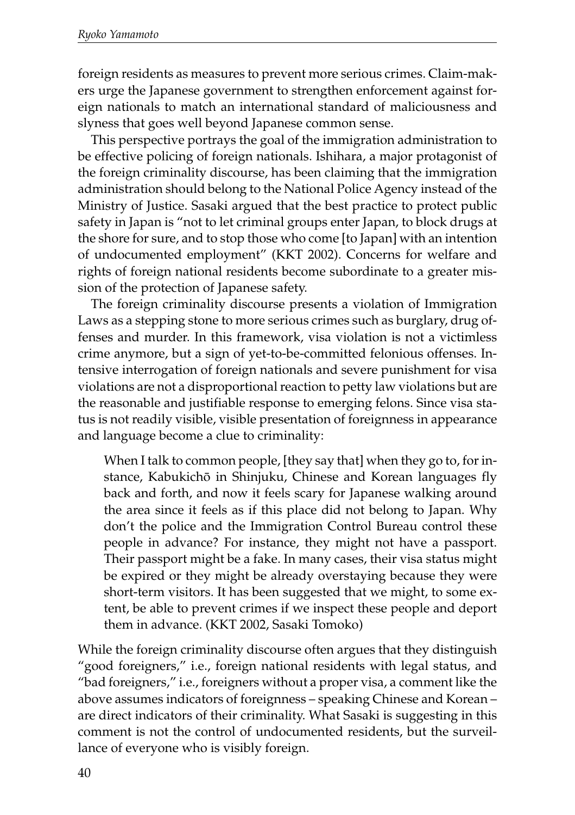foreign residents as measures to prevent more serious crimes. Claim-makers urge the Japanese government to strengthen enforcement against foreign nationals to match an international standard of maliciousness and slyness that goes well beyond Japanese common sense.

This perspective portrays the goal of the immigration administration to be effective policing of foreign nationals. Ishihara, a major protagonist of the foreign criminality discourse, has been claiming that the immigration administration should belong to the National Police Agency instead of the Ministry of Justice. Sasaki argued that the best practice to protect public safety in Japan is "not to let criminal groups enter Japan, to block drugs at the shore for sure, and to stop those who come [to Japan] with an intention of undocumented employment" (KKT 2002). Concerns for welfare and rights of foreign national residents become subordinate to a greater mission of the protection of Japanese safety.

The foreign criminality discourse presents a violation of Immigration Laws as a stepping stone to more serious crimes such as burglary, drug offenses and murder. In this framework, visa violation is not a victimless crime anymore, but a sign of yet-to-be-committed felonious offenses. Intensive interrogation of foreign nationals and severe punishment for visa violations are not a disproportional reaction to petty law violations but are the reasonable and justifiable response to emerging felons. Since visa status is not readily visible, visible presentation of foreignness in appearance and language become a clue to criminality:

When I talk to common people, [they say that] when they go to, for instance, Kabukichô in Shinjuku, Chinese and Korean languages fly back and forth, and now it feels scary for Japanese walking around the area since it feels as if this place did not belong to Japan. Why don't the police and the Immigration Control Bureau control these people in advance? For instance, they might not have a passport. Their passport might be a fake. In many cases, their visa status might be expired or they might be already overstaying because they were short-term visitors. It has been suggested that we might, to some extent, be able to prevent crimes if we inspect these people and deport them in advance. (KKT 2002, Sasaki Tomoko)

While the foreign criminality discourse often argues that they distinguish "good foreigners," i.e., foreign national residents with legal status, and "bad foreigners," i.e., foreigners without a proper visa, a comment like the above assumes indicators of foreignness – speaking Chinese and Korean – are direct indicators of their criminality. What Sasaki is suggesting in this comment is not the control of undocumented residents, but the surveillance of everyone who is visibly foreign.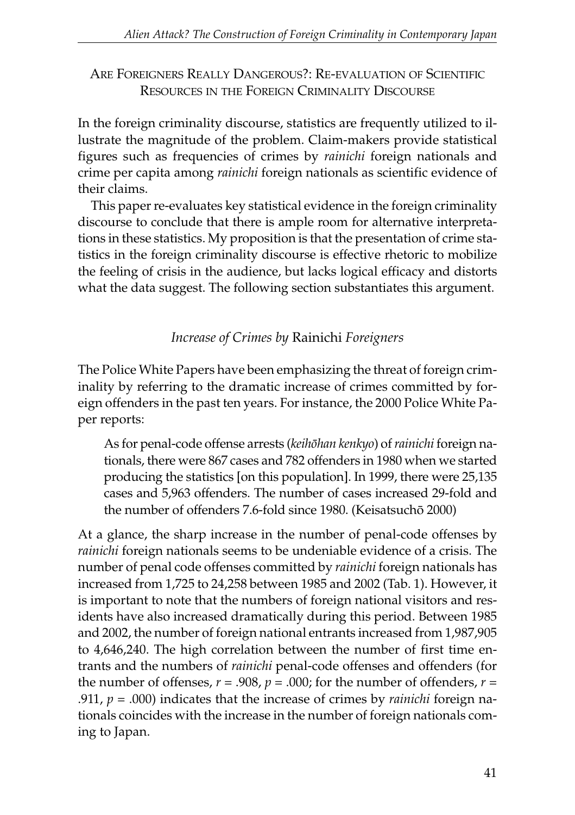ARE FOREIGNERS REALLY DANGEROUS?: RE-EVALUATION OF SCIENTIFIC RESOURCES IN THE FOREIGN CRIMINALITY DISCOURSE

In the foreign criminality discourse, statistics are frequently utilized to illustrate the magnitude of the problem. Claim-makers provide statistical figures such as frequencies of crimes by *rainichi* foreign nationals and crime per capita among *rainichi* foreign nationals as scientific evidence of their claims.

This paper re-evaluates key statistical evidence in the foreign criminality discourse to conclude that there is ample room for alternative interpretations in these statistics. My proposition is that the presentation of crime statistics in the foreign criminality discourse is effective rhetoric to mobilize the feeling of crisis in the audience, but lacks logical efficacy and distorts what the data suggest. The following section substantiates this argument.

*Increase of Crimes by* Rainichi *Foreigners*

The Police White Papers have been emphasizing the threat of foreign criminality by referring to the dramatic increase of crimes committed by foreign offenders in the past ten years. For instance, the 2000 Police White Paper reports:

As for penal-code offense arrests (*keihôhan kenkyo*) of *rainichi* foreign nationals, there were 867 cases and 782 offenders in 1980 when we started producing the statistics [on this population]. In 1999, there were 25,135 cases and 5,963 offenders. The number of cases increased 29-fold and the number of offenders 7.6-fold since 1980. (Keisatsuchô 2000)

At a glance, the sharp increase in the number of penal-code offenses by *rainichi* foreign nationals seems to be undeniable evidence of a crisis. The number of penal code offenses committed by *rainichi* foreign nationals has increased from 1,725 to 24,258 between 1985 and 2002 (Tab. 1). However, it is important to note that the numbers of foreign national visitors and residents have also increased dramatically during this period. Between 1985 and 2002, the number of foreign national entrants increased from 1,987,905 to 4,646,240. The high correlation between the number of first time entrants and the numbers of *rainichi* penal-code offenses and offenders (for the number of offenses,  $r = .908$ ,  $p = .000$ ; for the number of offenders,  $r =$ .911, *p* = .000) indicates that the increase of crimes by *rainichi* foreign nationals coincides with the increase in the number of foreign nationals coming to Japan.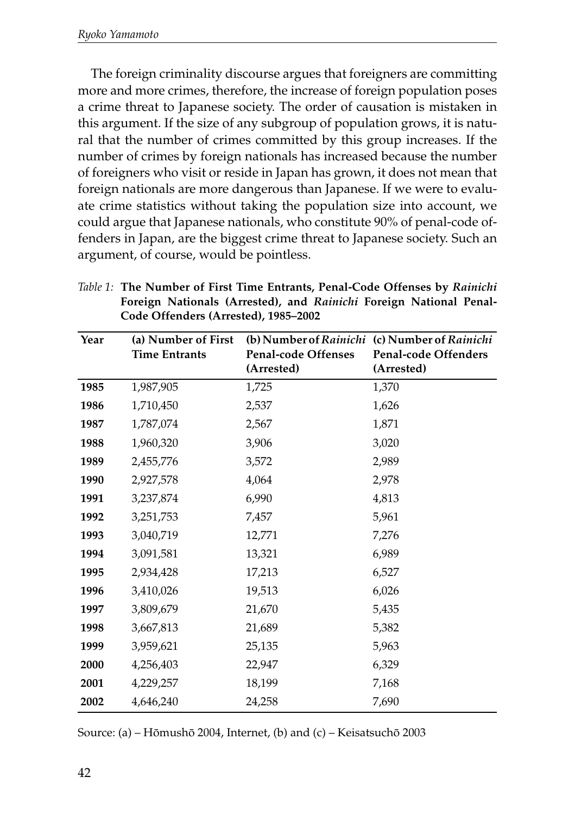The foreign criminality discourse argues that foreigners are committing more and more crimes, therefore, the increase of foreign population poses a crime threat to Japanese society. The order of causation is mistaken in this argument. If the size of any subgroup of population grows, it is natural that the number of crimes committed by this group increases. If the number of crimes by foreign nationals has increased because the number of foreigners who visit or reside in Japan has grown, it does not mean that foreign nationals are more dangerous than Japanese. If we were to evaluate crime statistics without taking the population size into account, we could argue that Japanese nationals, who constitute 90% of penal-code offenders in Japan, are the biggest crime threat to Japanese society. Such an argument, of course, would be pointless.

*Table 1:* **The Number of First Time Entrants, Penal-Code Offenses by** *Rainichi* **Foreign Nationals (Arrested), and** *Rainichi* **Foreign National Penal-Code Offenders (Arrested), 1985–2002**

| Year | (a) Number of First  |                     | (b) Number of Rainichi (c) Number of Rainichi |
|------|----------------------|---------------------|-----------------------------------------------|
|      | <b>Time Entrants</b> | Penal-code Offenses | Penal-code Offenders                          |
|      |                      | (Arrested)          | (Arrested)                                    |
| 1985 | 1,987,905            | 1,725               | 1,370                                         |
| 1986 | 1,710,450            | 2,537               | 1,626                                         |
| 1987 | 1,787,074            | 2,567               | 1,871                                         |
| 1988 | 1,960,320            | 3,906               | 3,020                                         |
| 1989 | 2,455,776            | 3,572               | 2,989                                         |
| 1990 | 2,927,578            | 4,064               | 2,978                                         |
| 1991 | 3,237,874            | 6,990               | 4,813                                         |
| 1992 | 3,251,753            | 7,457               | 5,961                                         |
| 1993 | 3,040,719            | 12,771              | 7,276                                         |
| 1994 | 3,091,581            | 13,321              | 6,989                                         |
| 1995 | 2,934,428            | 17,213              | 6,527                                         |
| 1996 | 3,410,026            | 19,513              | 6,026                                         |
| 1997 | 3,809,679            | 21,670              | 5,435                                         |
| 1998 | 3,667,813            | 21,689              | 5,382                                         |
| 1999 | 3,959,621            | 25,135              | 5,963                                         |
| 2000 | 4,256,403            | 22,947              | 6,329                                         |
| 2001 | 4,229,257            | 18,199              | 7,168                                         |
| 2002 | 4,646,240            | 24,258              | 7,690                                         |

Source: (a) – Hômushô 2004, Internet, (b) and (c) – Keisatsuchô 2003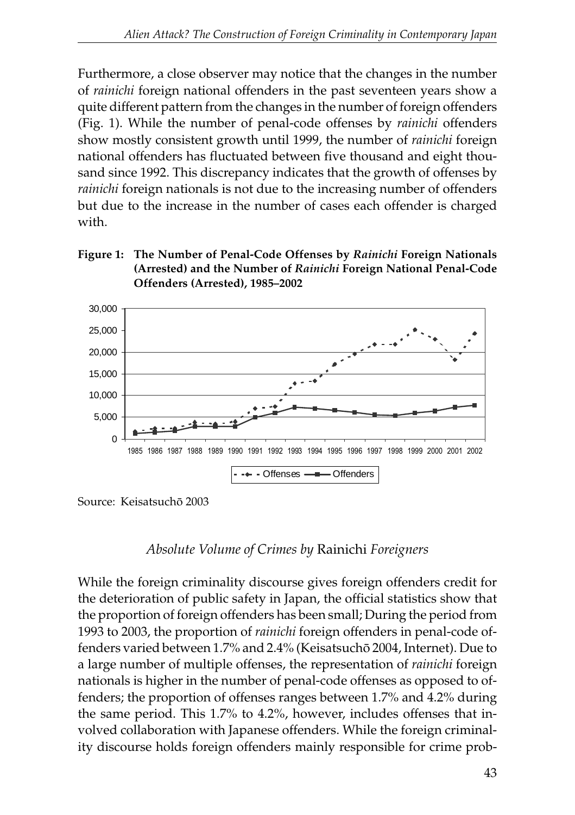Furthermore, a close observer may notice that the changes in the number of *rainichi* foreign national offenders in the past seventeen years show a quite different pattern from the changes in the number of foreign offenders (Fig. 1). While the number of penal-code offenses by *rainichi* offenders show mostly consistent growth until 1999, the number of *rainichi* foreign national offenders has fluctuated between five thousand and eight thousand since 1992. This discrepancy indicates that the growth of offenses by *rainichi* foreign nationals is not due to the increasing number of offenders but due to the increase in the number of cases each offender is charged with.

#### **Figure 1: The Number of Penal-Code Offenses by** *Rainichi* **Foreign Nationals (Arrested) and the Number of** *Rainichi* **Foreign National Penal-Code Offenders (Arrested), 1985–2002**



Source: Keisatsuchô 2003

## *Absolute Volume of Crimes by* Rainichi *Foreigners*

While the foreign criminality discourse gives foreign offenders credit for the deterioration of public safety in Japan, the official statistics show that the proportion of foreign offenders has been small; During the period from 1993 to 2003, the proportion of *rainichi* foreign offenders in penal-code offenders varied between 1.7% and 2.4% (Keisatsuchô 2004, Internet). Due to a large number of multiple offenses, the representation of *rainichi* foreign nationals is higher in the number of penal-code offenses as opposed to offenders; the proportion of offenses ranges between 1.7% and 4.2% during the same period. This 1.7% to 4.2%, however, includes offenses that involved collaboration with Japanese offenders. While the foreign criminality discourse holds foreign offenders mainly responsible for crime prob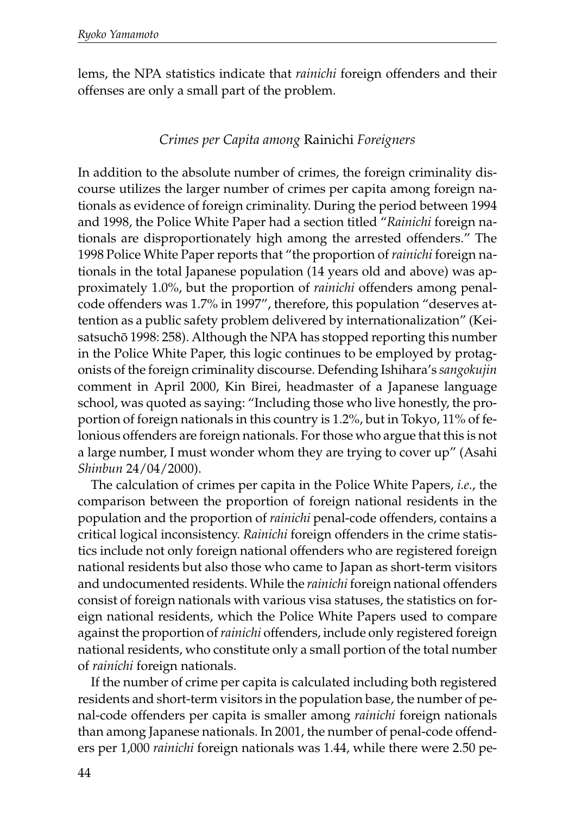lems, the NPA statistics indicate that *rainichi* foreign offenders and their offenses are only a small part of the problem.

### *Crimes per Capita among* Rainichi *Foreigners*

In addition to the absolute number of crimes, the foreign criminality discourse utilizes the larger number of crimes per capita among foreign nationals as evidence of foreign criminality. During the period between 1994 and 1998, the Police White Paper had a section titled "*Rainichi* foreign nationals are disproportionately high among the arrested offenders." The 1998 Police White Paper reports that "the proportion of *rainichi* foreign nationals in the total Japanese population (14 years old and above) was approximately 1.0%, but the proportion of *rainichi* offenders among penalcode offenders was 1.7% in 1997", therefore, this population "deserves attention as a public safety problem delivered by internationalization" (Keisatsuchô 1998: 258). Although the NPA has stopped reporting this number in the Police White Paper, this logic continues to be employed by protagonists of the foreign criminality discourse. Defending Ishihara's *sangokujin* comment in April 2000, Kin Birei, headmaster of a Japanese language school, was quoted as saying: "Including those who live honestly, the proportion of foreign nationals in this country is 1.2%, but in Tokyo, 11% of felonious offenders are foreign nationals. For those who argue that this is not a large number, I must wonder whom they are trying to cover up" (Asahi *Shinbun* 24/04/2000).

The calculation of crimes per capita in the Police White Papers, *i.e.*, the comparison between the proportion of foreign national residents in the population and the proportion of *rainichi* penal-code offenders, contains a critical logical inconsistency. *Rainichi* foreign offenders in the crime statistics include not only foreign national offenders who are registered foreign national residents but also those who came to Japan as short-term visitors and undocumented residents. While the *rainichi* foreign national offenders consist of foreign nationals with various visa statuses, the statistics on foreign national residents, which the Police White Papers used to compare against the proportion of *rainichi* offenders, include only registered foreign national residents, who constitute only a small portion of the total number of *rainichi* foreign nationals.

If the number of crime per capita is calculated including both registered residents and short-term visitors in the population base, the number of penal-code offenders per capita is smaller among *rainichi* foreign nationals than among Japanese nationals. In 2001, the number of penal-code offenders per 1,000 *rainichi* foreign nationals was 1.44, while there were 2.50 pe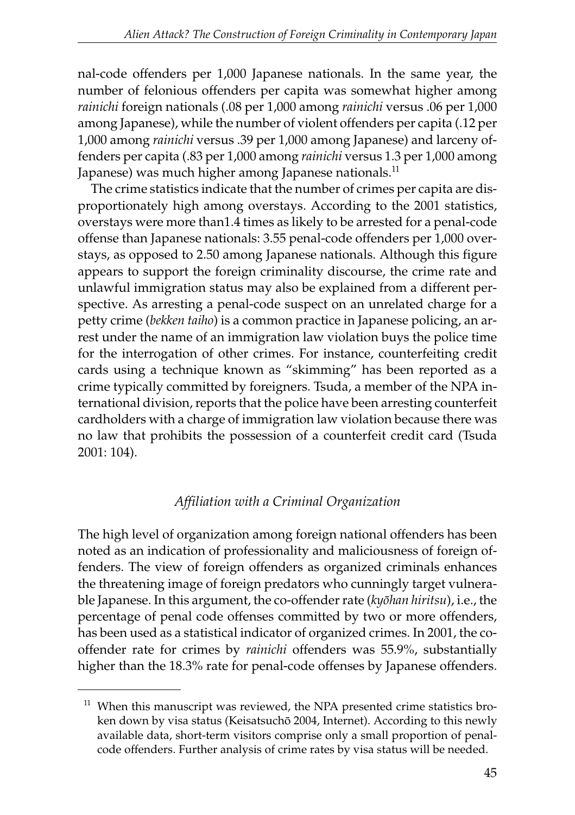nal-code offenders per 1,000 Japanese nationals. In the same year, the number of felonious offenders per capita was somewhat higher among *rainichi* foreign nationals (.08 per 1,000 among *rainichi* versus .06 per 1,000 among Japanese), while the number of violent offenders per capita (.12 per 1,000 among *rainichi* versus .39 per 1,000 among Japanese) and larceny offenders per capita (.83 per 1,000 among *rainichi* versus 1.3 per 1,000 among Japanese) was much higher among Japanese nationals.<sup>11</sup>

The crime statistics indicate that the number of crimes per capita are disproportionately high among overstays. According to the 2001 statistics, overstays were more than1.4 times as likely to be arrested for a penal-code offense than Japanese nationals: 3.55 penal-code offenders per 1,000 overstays, as opposed to 2.50 among Japanese nationals. Although this figure appears to support the foreign criminality discourse, the crime rate and unlawful immigration status may also be explained from a different perspective. As arresting a penal-code suspect on an unrelated charge for a petty crime (*bekken taiho*) is a common practice in Japanese policing, an arrest under the name of an immigration law violation buys the police time for the interrogation of other crimes. For instance, counterfeiting credit cards using a technique known as "skimming" has been reported as a crime typically committed by foreigners. Tsuda, a member of the NPA international division, reports that the police have been arresting counterfeit cardholders with a charge of immigration law violation because there was no law that prohibits the possession of a counterfeit credit card (Tsuda 2001: 104).

## *Affiliation with a Criminal Organization*

The high level of organization among foreign national offenders has been noted as an indication of professionality and maliciousness of foreign offenders. The view of foreign offenders as organized criminals enhances the threatening image of foreign predators who cunningly target vulnerable Japanese. In this argument, the co-offender rate (*kyôhan hiritsu*), i.e., the percentage of penal code offenses committed by two or more offenders, has been used as a statistical indicator of organized crimes. In 2001, the cooffender rate for crimes by *rainichi* offenders was 55.9%, substantially higher than the 18.3% rate for penal-code offenses by Japanese offenders.

 $11$  When this manuscript was reviewed, the NPA presented crime statistics broken down by visa status (Keisatsuchô 2004, Internet). According to this newly available data, short-term visitors comprise only a small proportion of penalcode offenders. Further analysis of crime rates by visa status will be needed.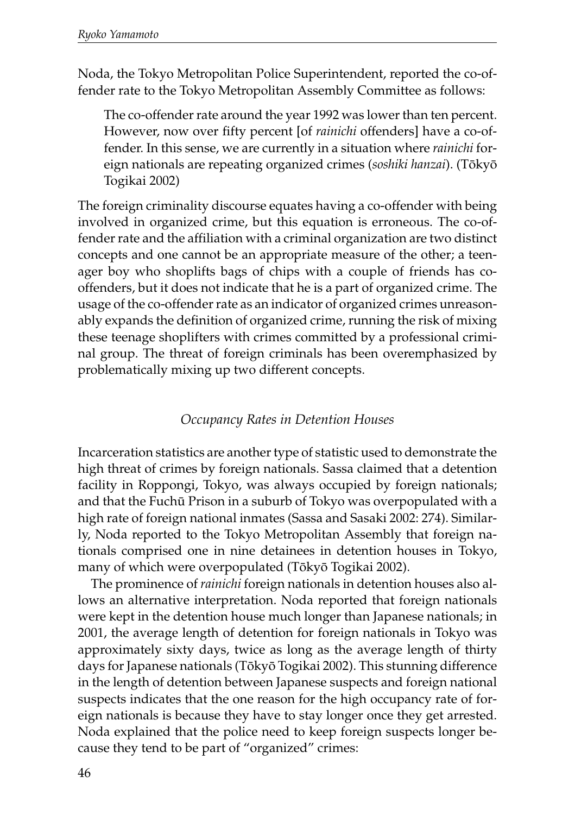Noda, the Tokyo Metropolitan Police Superintendent, reported the co-offender rate to the Tokyo Metropolitan Assembly Committee as follows:

The co-offender rate around the year 1992 was lower than ten percent. However, now over fifty percent [of *rainichi* offenders] have a co-offender. In this sense, we are currently in a situation where *rainichi* foreign nationals are repeating organized crimes (*soshiki hanzai*). (Tôkyô Togikai 2002)

The foreign criminality discourse equates having a co-offender with being involved in organized crime, but this equation is erroneous. The co-offender rate and the affiliation with a criminal organization are two distinct concepts and one cannot be an appropriate measure of the other; a teenager boy who shoplifts bags of chips with a couple of friends has cooffenders, but it does not indicate that he is a part of organized crime. The usage of the co-offender rate as an indicator of organized crimes unreasonably expands the definition of organized crime, running the risk of mixing these teenage shoplifters with crimes committed by a professional criminal group. The threat of foreign criminals has been overemphasized by problematically mixing up two different concepts.

### *Occupancy Rates in Detention Houses*

Incarceration statistics are another type of statistic used to demonstrate the high threat of crimes by foreign nationals. Sassa claimed that a detention facility in Roppongi, Tokyo, was always occupied by foreign nationals; and that the Fuchû Prison in a suburb of Tokyo was overpopulated with a high rate of foreign national inmates (Sassa and Sasaki 2002: 274). Similarly, Noda reported to the Tokyo Metropolitan Assembly that foreign nationals comprised one in nine detainees in detention houses in Tokyo, many of which were overpopulated (Tôkyô Togikai 2002).

The prominence of *rainichi* foreign nationals in detention houses also allows an alternative interpretation. Noda reported that foreign nationals were kept in the detention house much longer than Japanese nationals; in 2001, the average length of detention for foreign nationals in Tokyo was approximately sixty days, twice as long as the average length of thirty days for Japanese nationals (Tôkyô Togikai 2002). This stunning difference in the length of detention between Japanese suspects and foreign national suspects indicates that the one reason for the high occupancy rate of foreign nationals is because they have to stay longer once they get arrested. Noda explained that the police need to keep foreign suspects longer because they tend to be part of "organized" crimes: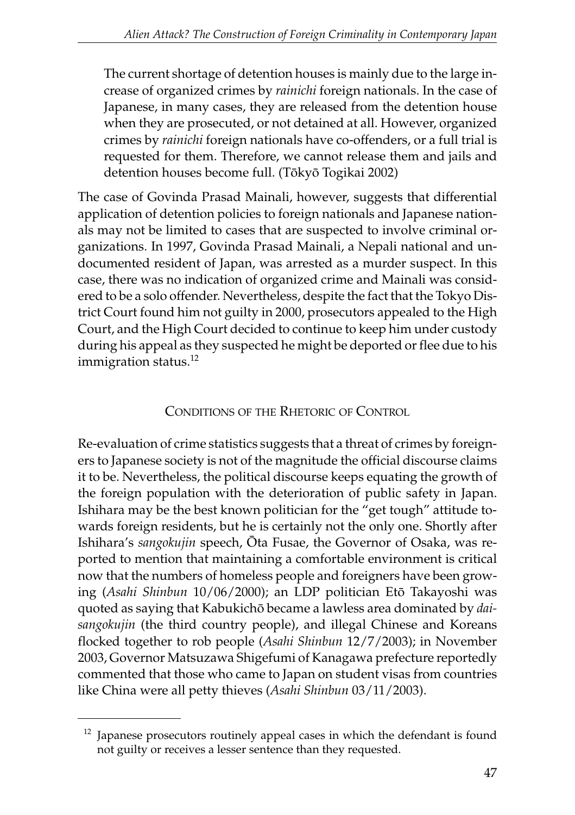The current shortage of detention houses is mainly due to the large increase of organized crimes by *rainichi* foreign nationals. In the case of Japanese, in many cases, they are released from the detention house when they are prosecuted, or not detained at all. However, organized crimes by *rainichi* foreign nationals have co-offenders, or a full trial is requested for them. Therefore, we cannot release them and jails and detention houses become full. (Tôkyô Togikai 2002)

The case of Govinda Prasad Mainali, however, suggests that differential application of detention policies to foreign nationals and Japanese nationals may not be limited to cases that are suspected to involve criminal organizations. In 1997, Govinda Prasad Mainali, a Nepali national and undocumented resident of Japan, was arrested as a murder suspect. In this case, there was no indication of organized crime and Mainali was considered to be a solo offender. Nevertheless, despite the fact that the Tokyo District Court found him not guilty in 2000, prosecutors appealed to the High Court, and the High Court decided to continue to keep him under custody during his appeal as they suspected he might be deported or flee due to his immigration status.<sup>12</sup>

## CONDITIONS OF THE RHETORIC OF CONTROL

Re-evaluation of crime statistics suggests that a threat of crimes by foreigners to Japanese society is not of the magnitude the official discourse claims it to be. Nevertheless, the political discourse keeps equating the growth of the foreign population with the deterioration of public safety in Japan. Ishihara may be the best known politician for the "get tough" attitude towards foreign residents, but he is certainly not the only one. Shortly after Ishihara's *sangokujin* speech, Ôta Fusae, the Governor of Osaka, was reported to mention that maintaining a comfortable environment is critical now that the numbers of homeless people and foreigners have been growing (*Asahi Shinbun* 10/06/2000); an LDP politician Etô Takayoshi was quoted as saying that Kabukichô became a lawless area dominated by *daisangokujin* (the third country people), and illegal Chinese and Koreans flocked together to rob people (*Asahi Shinbun* 12/7/2003); in November 2003, Governor Matsuzawa Shigefumi of Kanagawa prefecture reportedly commented that those who came to Japan on student visas from countries like China were all petty thieves (*Asahi Shinbun* 03/11/2003).

 $12$  Japanese prosecutors routinely appeal cases in which the defendant is found not guilty or receives a lesser sentence than they requested.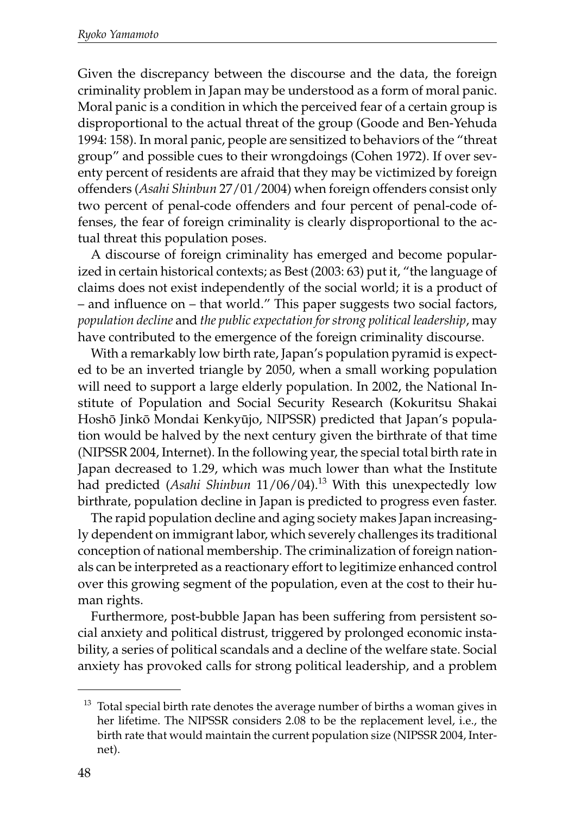Given the discrepancy between the discourse and the data, the foreign criminality problem in Japan may be understood as a form of moral panic. Moral panic is a condition in which the perceived fear of a certain group is disproportional to the actual threat of the group (Goode and Ben-Yehuda 1994: 158). In moral panic, people are sensitized to behaviors of the "threat group" and possible cues to their wrongdoings (Cohen 1972). If over seventy percent of residents are afraid that they may be victimized by foreign offenders (*Asahi Shinbun* 27/01/2004) when foreign offenders consist only two percent of penal-code offenders and four percent of penal-code offenses, the fear of foreign criminality is clearly disproportional to the actual threat this population poses.

A discourse of foreign criminality has emerged and become popularized in certain historical contexts; as Best (2003: 63) put it, "the language of claims does not exist independently of the social world; it is a product of – and influence on – that world." This paper suggests two social factors, *population decline* and *the public expectation for strong political leadership*, may have contributed to the emergence of the foreign criminality discourse.

With a remarkably low birth rate, Japan's population pyramid is expected to be an inverted triangle by 2050, when a small working population will need to support a large elderly population. In 2002, the National Institute of Population and Social Security Research (Kokuritsu Shakai Hoshô Jinkô Mondai Kenkyûjo, NIPSSR) predicted that Japan's population would be halved by the next century given the birthrate of that time (NIPSSR 2004, Internet). In the following year, the special total birth rate in Japan decreased to 1.29, which was much lower than what the Institute had predicted (Asahi Shinbun 11/06/04).<sup>13</sup> With this unexpectedly low birthrate, population decline in Japan is predicted to progress even faster.

The rapid population decline and aging society makes Japan increasingly dependent on immigrant labor, which severely challenges its traditional conception of national membership. The criminalization of foreign nationals can be interpreted as a reactionary effort to legitimize enhanced control over this growing segment of the population, even at the cost to their human rights.

Furthermore, post-bubble Japan has been suffering from persistent social anxiety and political distrust, triggered by prolonged economic instability, a series of political scandals and a decline of the welfare state. Social anxiety has provoked calls for strong political leadership, and a problem

 $13$  Total special birth rate denotes the average number of births a woman gives in her lifetime. The NIPSSR considers 2.08 to be the replacement level, i.e., the birth rate that would maintain the current population size (NIPSSR 2004, Internet).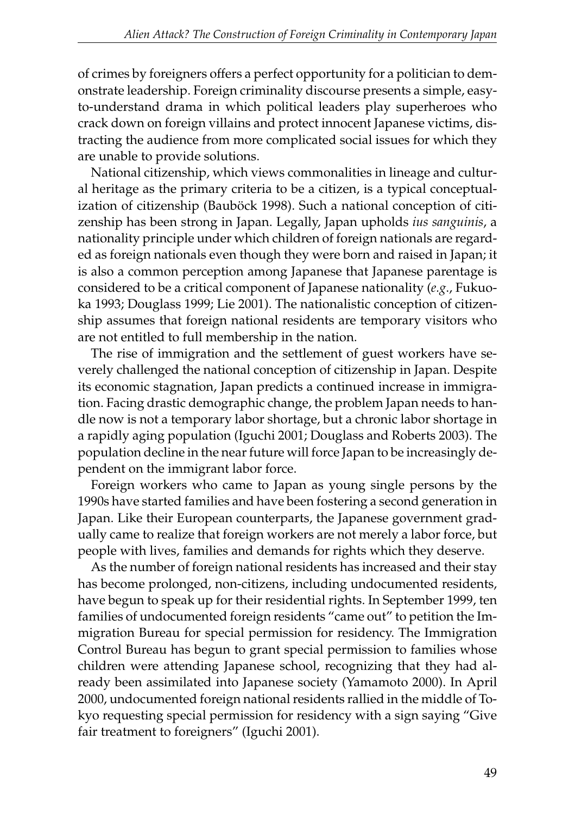of crimes by foreigners offers a perfect opportunity for a politician to demonstrate leadership. Foreign criminality discourse presents a simple, easyto-understand drama in which political leaders play superheroes who crack down on foreign villains and protect innocent Japanese victims, distracting the audience from more complicated social issues for which they are unable to provide solutions.

National citizenship, which views commonalities in lineage and cultural heritage as the primary criteria to be a citizen, is a typical conceptualization of citizenship (Bauböck 1998). Such a national conception of citizenship has been strong in Japan. Legally, Japan upholds *ius sanguinis*, a nationality principle under which children of foreign nationals are regarded as foreign nationals even though they were born and raised in Japan; it is also a common perception among Japanese that Japanese parentage is considered to be a critical component of Japanese nationality (*e.g*., Fukuoka 1993; Douglass 1999; Lie 2001). The nationalistic conception of citizenship assumes that foreign national residents are temporary visitors who are not entitled to full membership in the nation.

The rise of immigration and the settlement of guest workers have severely challenged the national conception of citizenship in Japan. Despite its economic stagnation, Japan predicts a continued increase in immigration. Facing drastic demographic change, the problem Japan needs to handle now is not a temporary labor shortage, but a chronic labor shortage in a rapidly aging population (Iguchi 2001; Douglass and Roberts 2003). The population decline in the near future will force Japan to be increasingly dependent on the immigrant labor force.

Foreign workers who came to Japan as young single persons by the 1990s have started families and have been fostering a second generation in Japan. Like their European counterparts, the Japanese government gradually came to realize that foreign workers are not merely a labor force, but people with lives, families and demands for rights which they deserve.

As the number of foreign national residents has increased and their stay has become prolonged, non-citizens, including undocumented residents, have begun to speak up for their residential rights. In September 1999, ten families of undocumented foreign residents "came out" to petition the Immigration Bureau for special permission for residency. The Immigration Control Bureau has begun to grant special permission to families whose children were attending Japanese school, recognizing that they had already been assimilated into Japanese society (Yamamoto 2000). In April 2000, undocumented foreign national residents rallied in the middle of Tokyo requesting special permission for residency with a sign saying "Give fair treatment to foreigners" (Iguchi 2001).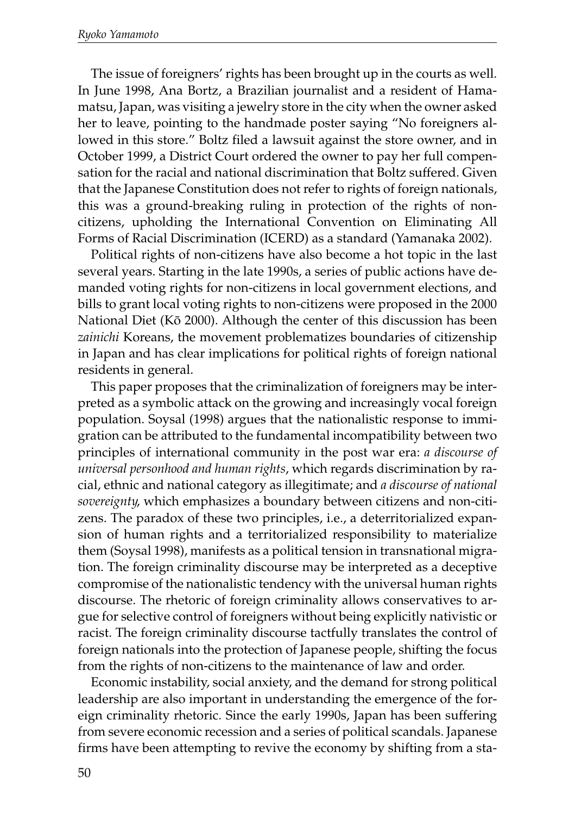The issue of foreigners' rights has been brought up in the courts as well. In June 1998, Ana Bortz, a Brazilian journalist and a resident of Hamamatsu, Japan, was visiting a jewelry store in the city when the owner asked her to leave, pointing to the handmade poster saying "No foreigners allowed in this store." Boltz filed a lawsuit against the store owner, and in October 1999, a District Court ordered the owner to pay her full compensation for the racial and national discrimination that Boltz suffered. Given that the Japanese Constitution does not refer to rights of foreign nationals, this was a ground-breaking ruling in protection of the rights of noncitizens, upholding the International Convention on Eliminating All Forms of Racial Discrimination (ICERD) as a standard (Yamanaka 2002).

Political rights of non-citizens have also become a hot topic in the last several years. Starting in the late 1990s, a series of public actions have demanded voting rights for non-citizens in local government elections, and bills to grant local voting rights to non-citizens were proposed in the 2000 National Diet (Kô 2000). Although the center of this discussion has been *zainichi* Koreans, the movement problematizes boundaries of citizenship in Japan and has clear implications for political rights of foreign national residents in general.

This paper proposes that the criminalization of foreigners may be interpreted as a symbolic attack on the growing and increasingly vocal foreign population. Soysal (1998) argues that the nationalistic response to immigration can be attributed to the fundamental incompatibility between two principles of international community in the post war era: *a discourse of universal personhood and human rights*, which regards discrimination by racial, ethnic and national category as illegitimate; and *a discourse of national sovereignty*, which emphasizes a boundary between citizens and non-citizens. The paradox of these two principles, i.e., a deterritorialized expansion of human rights and a territorialized responsibility to materialize them (Soysal 1998), manifests as a political tension in transnational migration. The foreign criminality discourse may be interpreted as a deceptive compromise of the nationalistic tendency with the universal human rights discourse. The rhetoric of foreign criminality allows conservatives to argue for selective control of foreigners without being explicitly nativistic or racist. The foreign criminality discourse tactfully translates the control of foreign nationals into the protection of Japanese people, shifting the focus from the rights of non-citizens to the maintenance of law and order.

Economic instability, social anxiety, and the demand for strong political leadership are also important in understanding the emergence of the foreign criminality rhetoric. Since the early 1990s, Japan has been suffering from severe economic recession and a series of political scandals. Japanese firms have been attempting to revive the economy by shifting from a sta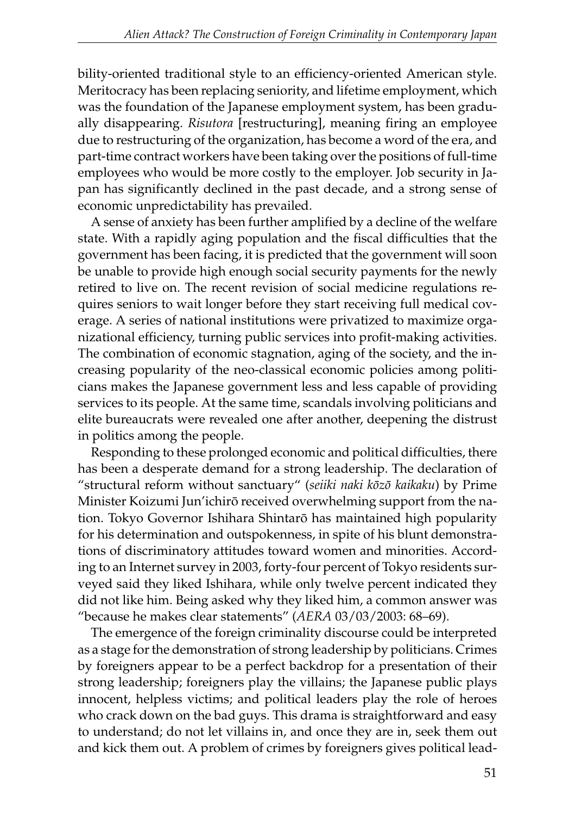bility-oriented traditional style to an efficiency-oriented American style. Meritocracy has been replacing seniority, and lifetime employment, which was the foundation of the Japanese employment system, has been gradually disappearing. *Risutora* [restructuring], meaning firing an employee due to restructuring of the organization, has become a word of the era, and part-time contract workers have been taking over the positions of full-time employees who would be more costly to the employer. Job security in Japan has significantly declined in the past decade, and a strong sense of economic unpredictability has prevailed.

A sense of anxiety has been further amplified by a decline of the welfare state. With a rapidly aging population and the fiscal difficulties that the government has been facing, it is predicted that the government will soon be unable to provide high enough social security payments for the newly retired to live on. The recent revision of social medicine regulations requires seniors to wait longer before they start receiving full medical coverage. A series of national institutions were privatized to maximize organizational efficiency, turning public services into profit-making activities. The combination of economic stagnation, aging of the society, and the increasing popularity of the neo-classical economic policies among politicians makes the Japanese government less and less capable of providing services to its people. At the same time, scandals involving politicians and elite bureaucrats were revealed one after another, deepening the distrust in politics among the people.

Responding to these prolonged economic and political difficulties, there has been a desperate demand for a strong leadership. The declaration of "structural reform without sanctuary" (*seiiki naki kôzô kaikaku*) by Prime Minister Koizumi Jun'ichirô received overwhelming support from the nation. Tokyo Governor Ishihara Shintarô has maintained high popularity for his determination and outspokenness, in spite of his blunt demonstrations of discriminatory attitudes toward women and minorities. According to an Internet survey in 2003, forty-four percent of Tokyo residents surveyed said they liked Ishihara, while only twelve percent indicated they did not like him. Being asked why they liked him, a common answer was "because he makes clear statements" (*AERA* 03/03/2003: 68–69).

The emergence of the foreign criminality discourse could be interpreted as a stage for the demonstration of strong leadership by politicians. Crimes by foreigners appear to be a perfect backdrop for a presentation of their strong leadership; foreigners play the villains; the Japanese public plays innocent, helpless victims; and political leaders play the role of heroes who crack down on the bad guys. This drama is straightforward and easy to understand; do not let villains in, and once they are in, seek them out and kick them out. A problem of crimes by foreigners gives political lead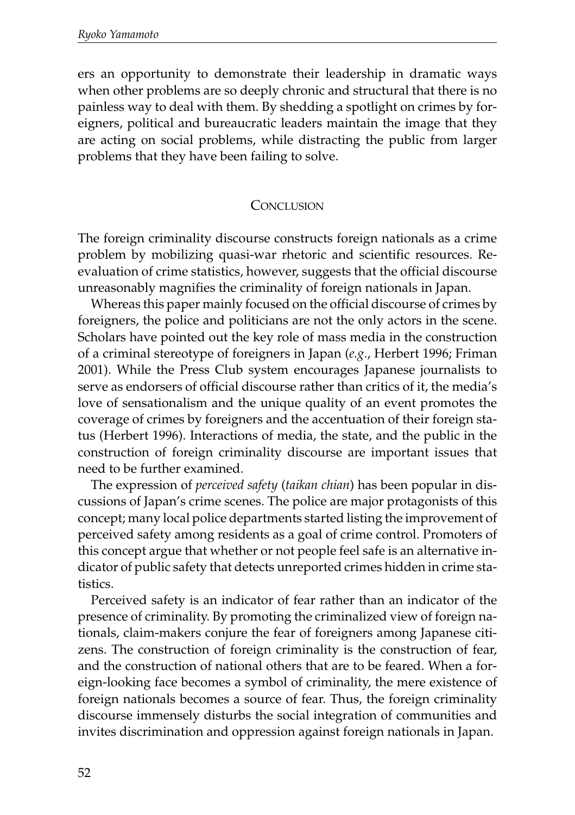ers an opportunity to demonstrate their leadership in dramatic ways when other problems are so deeply chronic and structural that there is no painless way to deal with them. By shedding a spotlight on crimes by foreigners, political and bureaucratic leaders maintain the image that they are acting on social problems, while distracting the public from larger problems that they have been failing to solve.

#### **CONCLUSION**

The foreign criminality discourse constructs foreign nationals as a crime problem by mobilizing quasi-war rhetoric and scientific resources. Reevaluation of crime statistics, however, suggests that the official discourse unreasonably magnifies the criminality of foreign nationals in Japan.

Whereas this paper mainly focused on the official discourse of crimes by foreigners, the police and politicians are not the only actors in the scene. Scholars have pointed out the key role of mass media in the construction of a criminal stereotype of foreigners in Japan (*e.g*., Herbert 1996; Friman 2001). While the Press Club system encourages Japanese journalists to serve as endorsers of official discourse rather than critics of it, the media's love of sensationalism and the unique quality of an event promotes the coverage of crimes by foreigners and the accentuation of their foreign status (Herbert 1996). Interactions of media, the state, and the public in the construction of foreign criminality discourse are important issues that need to be further examined.

The expression of *perceived safety* (*taikan chian*) has been popular in discussions of Japan's crime scenes. The police are major protagonists of this concept; many local police departments started listing the improvement of perceived safety among residents as a goal of crime control. Promoters of this concept argue that whether or not people feel safe is an alternative indicator of public safety that detects unreported crimes hidden in crime statistics.

Perceived safety is an indicator of fear rather than an indicator of the presence of criminality. By promoting the criminalized view of foreign nationals, claim-makers conjure the fear of foreigners among Japanese citizens. The construction of foreign criminality is the construction of fear, and the construction of national others that are to be feared. When a foreign-looking face becomes a symbol of criminality, the mere existence of foreign nationals becomes a source of fear. Thus, the foreign criminality discourse immensely disturbs the social integration of communities and invites discrimination and oppression against foreign nationals in Japan.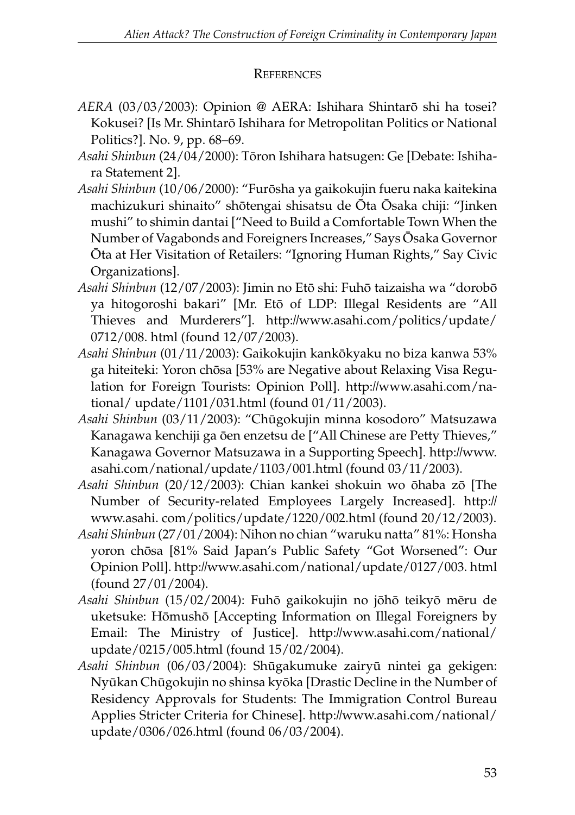### **REFERENCES**

- *AERA* (03/03/2003): Opinion @ AERA: Ishihara Shintarô shi ha tosei? Kokusei? [Is Mr. Shintarô Ishihara for Metropolitan Politics or National Politics?]. No. 9, pp. 68–69.
- *Asahi Shinbun* (24/04/2000): Tôron Ishihara hatsugen: Ge [Debate: Ishihara Statement 2].
- *Asahi Shinbun* (10/06/2000): "Furôsha ya gaikokujin fueru naka kaitekina machizukuri shinaito" shôtengai shisatsu de Ôta Ôsaka chiji: "Jinken mushi" to shimin dantai ["Need to Build a Comfortable Town When the Number of Vagabonds and Foreigners Increases," Says Ôsaka Governor Ôta at Her Visitation of Retailers: "Ignoring Human Rights," Say Civic Organizations].
- *Asahi Shinbun* (12/07/2003): Jimin no Etô shi: Fuhô taizaisha wa "dorobô ya hitogoroshi bakari" [Mr. Etô of LDP: Illegal Residents are "All Thieves and Murderers"]. http://www.asahi.com/politics/update/ 0712/008. html (found 12/07/2003).
- *Asahi Shinbun* (01/11/2003): Gaikokujin kankôkyaku no biza kanwa 53% ga hiteiteki: Yoron chôsa [53% are Negative about Relaxing Visa Regulation for Foreign Tourists: Opinion Poll]. http://www.asahi.com/national/ update/1101/031.html (found 01/11/2003).
- *Asahi Shinbun* (03/11/2003): "Chûgokujin minna kosodoro" Matsuzawa Kanagawa kenchiji ga ôen enzetsu de ["All Chinese are Petty Thieves," Kanagawa Governor Matsuzawa in a Supporting Speech]. http://www. asahi.com/national/update/1103/001.html (found 03/11/2003).
- *Asahi Shinbun* (20/12/2003): Chian kankei shokuin wo ôhaba zô [The Number of Security-related Employees Largely Increased]. http:// www.asahi. com/politics/update/1220/002.html (found 20/12/2003).
- *Asahi Shinbun* (27/01/2004): Nihon no chian "waruku natta" 81%: Honsha yoron chôsa [81% Said Japan's Public Safety "Got Worsened": Our Opinion Poll]. http://www.asahi.com/national/update/0127/003. html (found 27/01/2004).
- *Asahi Shinbun* (15/02/2004): Fuhô gaikokujin no jôhô teikyô mêru de uketsuke: Hômushô [Accepting Information on Illegal Foreigners by Email: The Ministry of Justice]. http://www.asahi.com/national/ update/0215/005.html (found 15/02/2004).
- *Asahi Shinbun* (06/03/2004): Shûgakumuke zairyû nintei ga gekigen: Nyûkan Chûgokujin no shinsa kyôka [Drastic Decline in the Number of Residency Approvals for Students: The Immigration Control Bureau Applies Stricter Criteria for Chinese]. http://www.asahi.com/national/ update/0306/026.html (found 06/03/2004).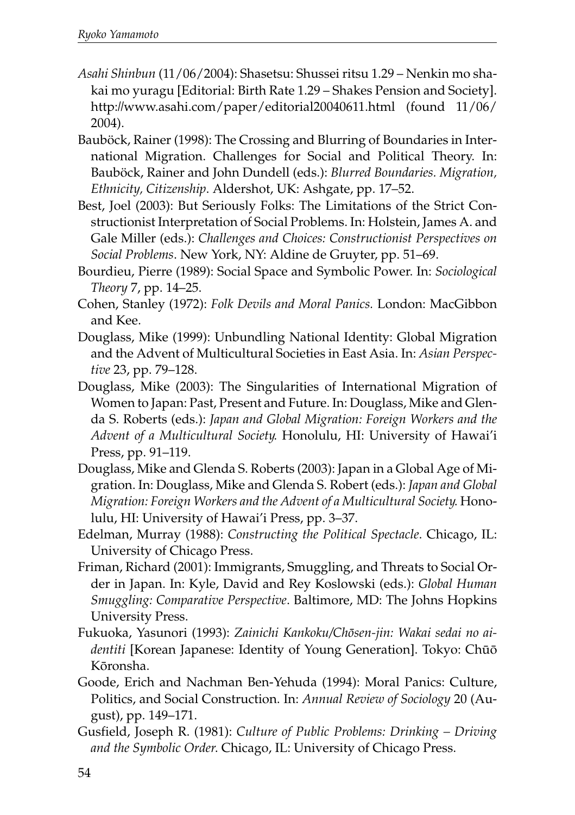- *Asahi Shinbun* (11/06/2004): Shasetsu: Shussei ritsu 1.29 Nenkin mo shakai mo yuragu [Editorial: Birth Rate 1.29 – Shakes Pension and Society]. http://www.asahi.com/paper/editorial20040611.html (found 11/06/ 2004).
- Bauböck, Rainer (1998): The Crossing and Blurring of Boundaries in International Migration. Challenges for Social and Political Theory. In: Bauböck, Rainer and John Dundell (eds.): *Blurred Boundaries. Migration, Ethnicity, Citizenship*. Aldershot, UK: Ashgate, pp. 17–52.
- Best, Joel (2003): But Seriously Folks: The Limitations of the Strict Constructionist Interpretation of Social Problems. In: Holstein, James A. and Gale Miller (eds.): *Challenges and Choices: Constructionist Perspectives on Social Problems*. New York, NY: Aldine de Gruyter, pp. 51–69.
- Bourdieu, Pierre (1989): Social Space and Symbolic Power. In: *Sociological Theory* 7, pp. 14–25.
- Cohen, Stanley (1972): *Folk Devils and Moral Panics.* London: MacGibbon and Kee.
- Douglass, Mike (1999): Unbundling National Identity: Global Migration and the Advent of Multicultural Societies in East Asia. In: *Asian Perspective* 23, pp. 79–128.
- Douglass, Mike (2003): The Singularities of International Migration of Women to Japan: Past, Present and Future. In: Douglass, Mike and Glenda S. Roberts (eds.): *Japan and Global Migration: Foreign Workers and the Advent of a Multicultural Society*. Honolulu, HI: University of Hawai'i Press, pp. 91–119.
- Douglass, Mike and Glenda S. Roberts (2003): Japan in a Global Age of Migration. In: Douglass, Mike and Glenda S. Robert (eds.): *Japan and Global Migration: Foreign Workers and the Advent of a Multicultural Society*. Honolulu, HI: University of Hawai'i Press, pp. 3–37.
- Edelman, Murray (1988): *Constructing the Political Spectacle*. Chicago, IL: University of Chicago Press.
- Friman, Richard (2001): Immigrants, Smuggling, and Threats to Social Order in Japan. In: Kyle, David and Rey Koslowski (eds.): *Global Human Smuggling: Comparative Perspective*. Baltimore, MD: The Johns Hopkins University Press.
- Fukuoka, Yasunori (1993): *Zainichi Kankoku/Chôsen-jin: Wakai sedai no aidentiti* [Korean Japanese: Identity of Young Generation]. Tokyo: Chûô Kôronsha.
- Goode, Erich and Nachman Ben-Yehuda (1994): Moral Panics: Culture, Politics, and Social Construction. In: *Annual Review of Sociology* 20 (August), pp. 149–171.
- Gusfield, Joseph R. (1981): *Culture of Public Problems: Drinking Driving and the Symbolic Order*. Chicago, IL: University of Chicago Press.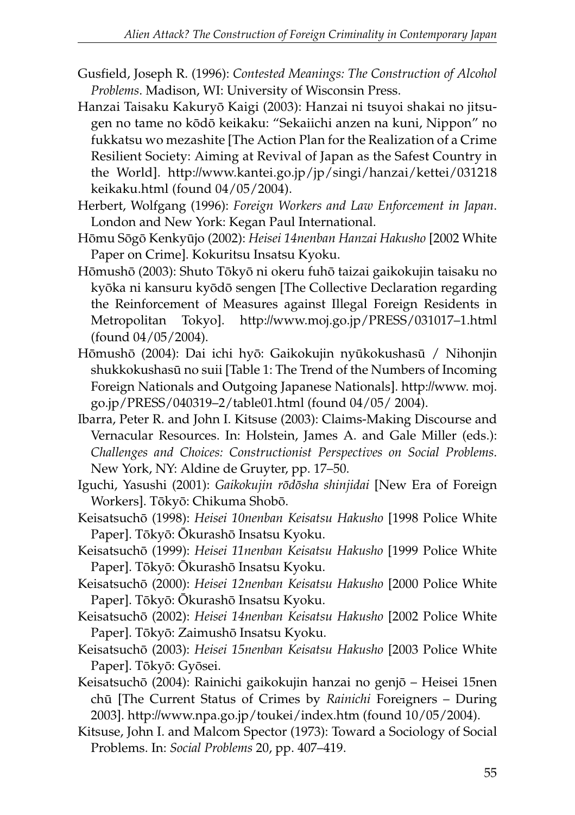- Gusfield, Joseph R. (1996): *Contested Meanings: The Construction of Alcohol Problems*. Madison, WI: University of Wisconsin Press.
- Hanzai Taisaku Kakuryô Kaigi (2003): Hanzai ni tsuyoi shakai no jitsugen no tame no kôdô keikaku: "Sekaiichi anzen na kuni, Nippon" no fukkatsu wo mezashite [The Action Plan for the Realization of a Crime Resilient Society: Aiming at Revival of Japan as the Safest Country in the World]. http://www.kantei.go.jp/jp/singi/hanzai/kettei/031218 keikaku.html (found 04/05/2004).
- Herbert, Wolfgang (1996): *Foreign Workers and Law Enforcement in Japan*. London and New York: Kegan Paul International.
- Hômu Sôgô Kenkyûjo (2002): *Heisei 14nenban Hanzai Hakusho* [2002 White Paper on Crime]. Kokuritsu Insatsu Kyoku.
- Hômushô (2003): Shuto Tôkyô ni okeru fuhô taizai gaikokujin taisaku no kyôka ni kansuru kyôdô sengen [The Collective Declaration regarding the Reinforcement of Measures against Illegal Foreign Residents in Metropolitan Tokyo]. http://www.moj.go.jp/PRESS/031017–1.html (found 04/05/2004).
- Hômushô (2004): Dai ichi hyô: Gaikokujin nyûkokushasû / Nihonjin shukkokushasû no suii [Table 1: The Trend of the Numbers of Incoming Foreign Nationals and Outgoing Japanese Nationals]. http://www. moj. go.jp/PRESS/040319–2/table01.html (found 04/05/ 2004).
- Ibarra, Peter R. and John I. Kitsuse (2003): Claims-Making Discourse and Vernacular Resources. In: Holstein, James A. and Gale Miller (eds.): *Challenges and Choices: Constructionist Perspectives on Social Problems*. New York, NY: Aldine de Gruyter, pp. 17–50.
- Iguchi, Yasushi (2001): *Gaikokujin rôdôsha shinjidai* [New Era of Foreign Workers]. Tôkyô: Chikuma Shobô.
- Keisatsuchô (1998): *Heisei 10nenban Keisatsu Hakusho* [1998 Police White Paper]. Tôkyô: Ôkurashô Insatsu Kyoku.
- Keisatsuchô (1999): *Heisei 11nenban Keisatsu Hakusho* [1999 Police White Paper]. Tôkyô: Ôkurashô Insatsu Kyoku.
- Keisatsuchô (2000): *Heisei 12nenban Keisatsu Hakusho* [2000 Police White Paper]. Tôkyô: Ôkurashô Insatsu Kyoku.
- Keisatsuchô (2002): *Heisei 14nenban Keisatsu Hakusho* [2002 Police White Paper]. Tôkyô: Zaimushô Insatsu Kyoku.
- Keisatsuchô (2003): *Heisei 15nenban Keisatsu Hakusho* [2003 Police White Paper]. Tôkyô: Gyôsei.
- Keisatsuchô (2004): Rainichi gaikokujin hanzai no genjô Heisei 15nen chû [The Current Status of Crimes by *Rainichi* Foreigners – During 2003]. http://www.npa.go.jp/toukei/index.htm (found 10/05/2004).
- Kitsuse, John I. and Malcom Spector (1973): Toward a Sociology of Social Problems. In: *Social Problems* 20, pp. 407–419.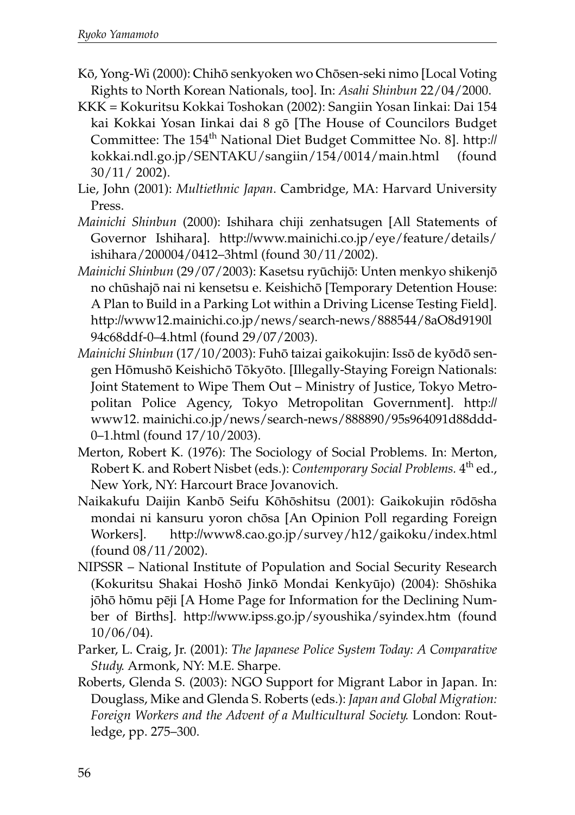- Kô, Yong-Wi (2000): Chihô senkyoken wo Chôsen-seki nimo [Local Voting Rights to North Korean Nationals, too]. In: *Asahi Shinbun* 22/04/2000.
- KKK = Kokuritsu Kokkai Toshokan (2002): Sangiin Yosan Iinkai: Dai 154 kai Kokkai Yosan Iinkai dai 8 gô [The House of Councilors Budget Committee: The 154<sup>th</sup> National Diet Budget Committee No. 8]. http:// kokkai.ndl.go.jp/SENTAKU/sangiin/154/0014/main.html (found 30/11/ 2002).
- Lie, John (2001): *Multiethnic Japan*. Cambridge, MA: Harvard University Press.
- *Mainichi Shinbun* (2000): Ishihara chiji zenhatsugen [All Statements of Governor Ishihara]. http://www.mainichi.co.jp/eye/feature/details/ ishihara/200004/0412–3html (found 30/11/2002).
- *Mainichi Shinbun* (29/07/2003): Kasetsu ryûchijô: Unten menkyo shikenjô no chûshajô nai ni kensetsu e. Keishichô [Temporary Detention House: A Plan to Build in a Parking Lot within a Driving License Testing Field]. http://www12.mainichi.co.jp/news/search-news/888544/8aO8d9190l 94c68ddf-0–4.html (found 29/07/2003).
- *Mainichi Shinbun* (17/10/2003): Fuhô taizai gaikokujin: Issô de kyôdô sengen Hômushô Keishichô Tôkyôto. [Illegally-Staying Foreign Nationals: Joint Statement to Wipe Them Out – Ministry of Justice, Tokyo Metropolitan Police Agency, Tokyo Metropolitan Government]. http:// www12. mainichi.co.jp/news/search-news/888890/95s964091d88ddd-0–1.html (found 17/10/2003).
- Merton, Robert K. (1976): The Sociology of Social Problems. In: Merton, Robert K. and Robert Nisbet (eds.): *Contemporary Social Problems*. 4<sup>th</sup> ed., New York, NY: Harcourt Brace Jovanovich.
- Naikakufu Daijin Kanbô Seifu Kôhôshitsu (2001): Gaikokujin rôdôsha mondai ni kansuru yoron chôsa [An Opinion Poll regarding Foreign Workers]. http://www8.cao.go.jp/survey/h12/gaikoku/index.html (found 08/11/2002).
- NIPSSR National Institute of Population and Social Security Research (Kokuritsu Shakai Hoshô Jinkô Mondai Kenkyûjo) (2004): Shôshika jôhô hômu pêji [A Home Page for Information for the Declining Number of Births]. http://www.ipss.go.jp/syoushika/syindex.htm (found 10/06/04).
- Parker, L. Craig, Jr. (2001): *The Japanese Police System Today: A Comparative Study*. Armonk, NY: M.E. Sharpe.
- Roberts, Glenda S. (2003): NGO Support for Migrant Labor in Japan. In: Douglass, Mike and Glenda S. Roberts (eds.): *Japan and Global Migration: Foreign Workers and the Advent of a Multicultural Society*. London: Routledge, pp. 275–300.